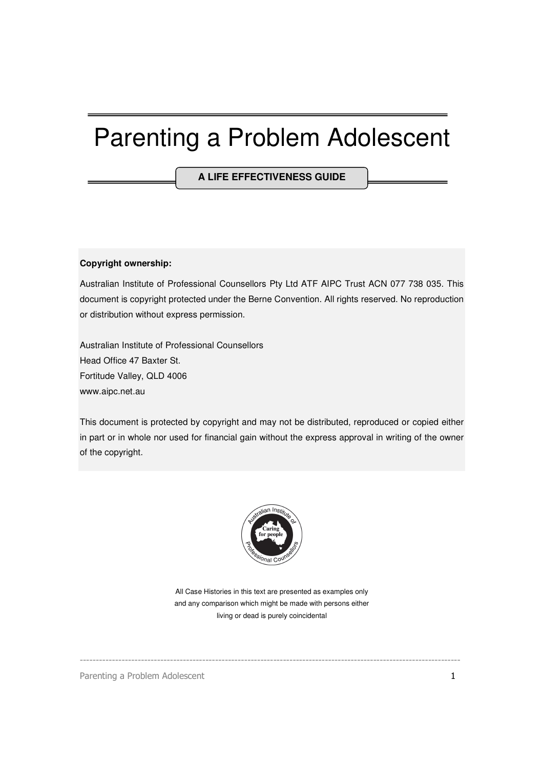# Parenting a Problem Adolescent

**A LIFE EFFECTIVENESS GUIDE**

#### **Copyright ownership:**

Australian Institute of Professional Counsellors Pty Ltd ATF AIPC Trust ACN 077 738 035. This document is copyright protected under the Berne Convention. All rights reserved. No reproduction or distribution without express permission.

Australian Institute of Professional Counsellors Head Office 47 Baxter St. Fortitude Valley, QLD 4006 www.aipc.net.au

This document is protected by copyright and may not be distributed, reproduced or copied either in part or in whole nor used for financial gain without the express approval in writing of the owner of the copyright.



All Case Histories in this text are presented as examples only and any comparison which might be made with persons either living or dead is purely coincidental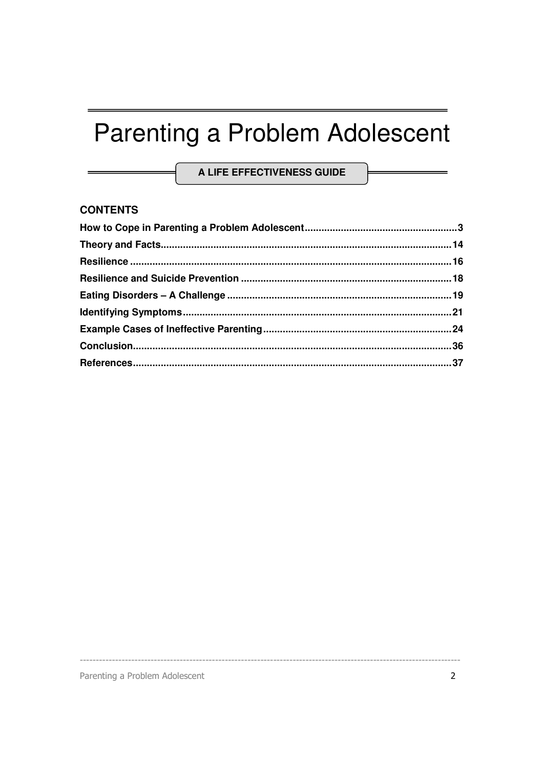# Parenting a Problem Adolescent

A LIFE EFFECTIVENESS GUIDE

#### **CONTENTS**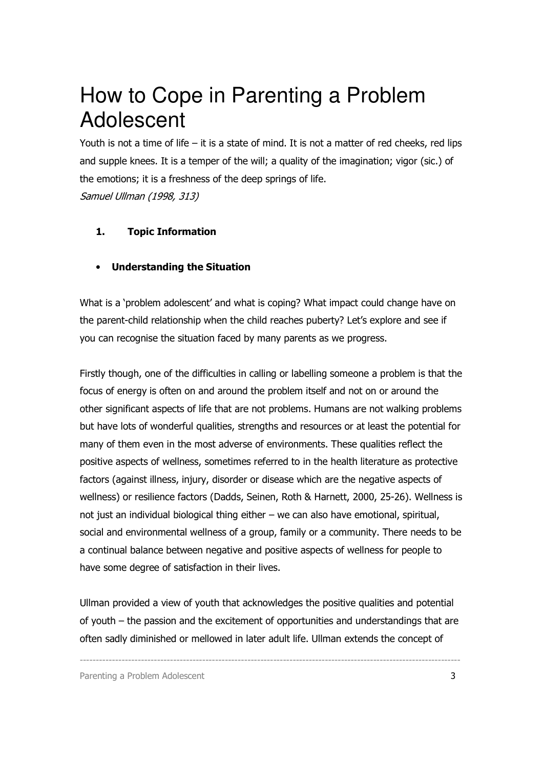### How to Cope in Parenting a Problem Adolescent

Youth is not a time of life  $-$  it is a state of mind. It is not a matter of red cheeks, red lips and supple knees. It is a temper of the will; a quality of the imagination; vigor (sic.) of the emotions; it is a freshness of the deep springs of life. Samuel Ullman (1998, 313)

#### 1. Topic Information

#### • Understanding the Situation

What is a 'problem adolescent' and what is coping? What impact could change have on the parent-child relationship when the child reaches puberty? Let's explore and see if you can recognise the situation faced by many parents as we progress.

Firstly though, one of the difficulties in calling or labelling someone a problem is that the focus of energy is often on and around the problem itself and not on or around the other significant aspects of life that are not problems. Humans are not walking problems but have lots of wonderful qualities, strengths and resources or at least the potential for many of them even in the most adverse of environments. These qualities reflect the positive aspects of wellness, sometimes referred to in the health literature as protective factors (against illness, injury, disorder or disease which are the negative aspects of wellness) or resilience factors (Dadds, Seinen, Roth & Harnett, 2000, 25-26). Wellness is not just an individual biological thing either – we can also have emotional, spiritual, social and environmental wellness of a group, family or a community. There needs to be a continual balance between negative and positive aspects of wellness for people to have some degree of satisfaction in their lives.

Ullman provided a view of youth that acknowledges the positive qualities and potential of youth – the passion and the excitement of opportunities and understandings that are often sadly diminished or mellowed in later adult life. Ullman extends the concept of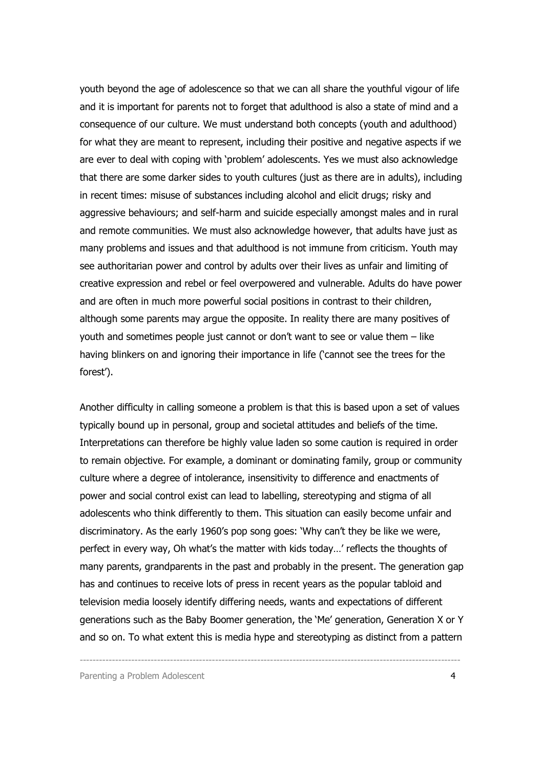youth beyond the age of adolescence so that we can all share the youthful vigour of life and it is important for parents not to forget that adulthood is also a state of mind and a consequence of our culture. We must understand both concepts (youth and adulthood) for what they are meant to represent, including their positive and negative aspects if we are ever to deal with coping with 'problem' adolescents. Yes we must also acknowledge that there are some darker sides to youth cultures (just as there are in adults), including in recent times: misuse of substances including alcohol and elicit drugs; risky and aggressive behaviours; and self-harm and suicide especially amongst males and in rural and remote communities. We must also acknowledge however, that adults have just as many problems and issues and that adulthood is not immune from criticism. Youth may see authoritarian power and control by adults over their lives as unfair and limiting of creative expression and rebel or feel overpowered and vulnerable. Adults do have power and are often in much more powerful social positions in contrast to their children, although some parents may argue the opposite. In reality there are many positives of youth and sometimes people just cannot or don't want to see or value them – like having blinkers on and ignoring their importance in life ('cannot see the trees for the forest').

Another difficulty in calling someone a problem is that this is based upon a set of values typically bound up in personal, group and societal attitudes and beliefs of the time. Interpretations can therefore be highly value laden so some caution is required in order to remain objective. For example, a dominant or dominating family, group or community culture where a degree of intolerance, insensitivity to difference and enactments of power and social control exist can lead to labelling, stereotyping and stigma of all adolescents who think differently to them. This situation can easily become unfair and discriminatory. As the early 1960's pop song goes: 'Why can't they be like we were, perfect in every way, Oh what's the matter with kids today…' reflects the thoughts of many parents, grandparents in the past and probably in the present. The generation gap has and continues to receive lots of press in recent years as the popular tabloid and television media loosely identify differing needs, wants and expectations of different generations such as the Baby Boomer generation, the 'Me' generation, Generation X or Y and so on. To what extent this is media hype and stereotyping as distinct from a pattern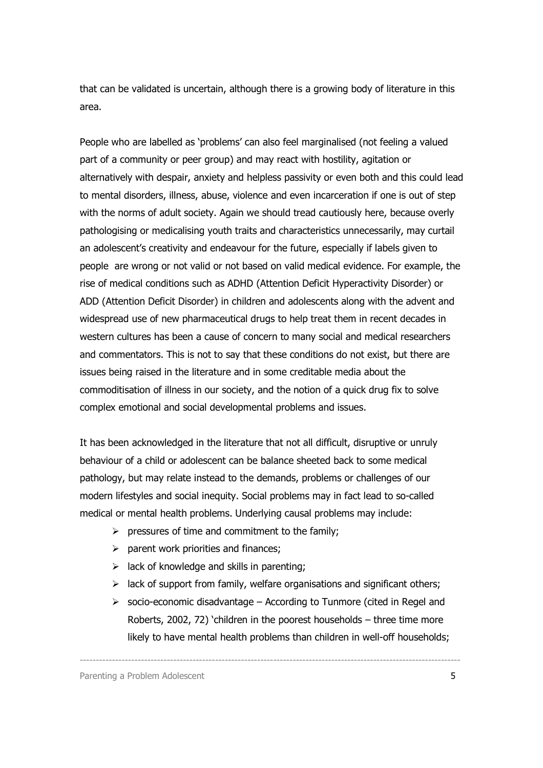that can be validated is uncertain, although there is a growing body of literature in this area.

People who are labelled as 'problems' can also feel marginalised (not feeling a valued part of a community or peer group) and may react with hostility, agitation or alternatively with despair, anxiety and helpless passivity or even both and this could lead to mental disorders, illness, abuse, violence and even incarceration if one is out of step with the norms of adult society. Again we should tread cautiously here, because overly pathologising or medicalising youth traits and characteristics unnecessarily, may curtail an adolescent's creativity and endeavour for the future, especially if labels given to people are wrong or not valid or not based on valid medical evidence. For example, the rise of medical conditions such as ADHD (Attention Deficit Hyperactivity Disorder) or ADD (Attention Deficit Disorder) in children and adolescents along with the advent and widespread use of new pharmaceutical drugs to help treat them in recent decades in western cultures has been a cause of concern to many social and medical researchers and commentators. This is not to say that these conditions do not exist, but there are issues being raised in the literature and in some creditable media about the commoditisation of illness in our society, and the notion of a quick drug fix to solve complex emotional and social developmental problems and issues.

It has been acknowledged in the literature that not all difficult, disruptive or unruly behaviour of a child or adolescent can be balance sheeted back to some medical pathology, but may relate instead to the demands, problems or challenges of our modern lifestyles and social inequity. Social problems may in fact lead to so-called medical or mental health problems. Underlying causal problems may include:

- $\triangleright$  pressures of time and commitment to the family;
- $\triangleright$  parent work priorities and finances;
- $\triangleright$  lack of knowledge and skills in parenting;
- $\geq$  lack of support from family, welfare organisations and significant others;
- $\triangleright$  socio-economic disadvantage According to Tunmore (cited in Regel and Roberts, 2002, 72) 'children in the poorest households – three time more likely to have mental health problems than children in well-off households;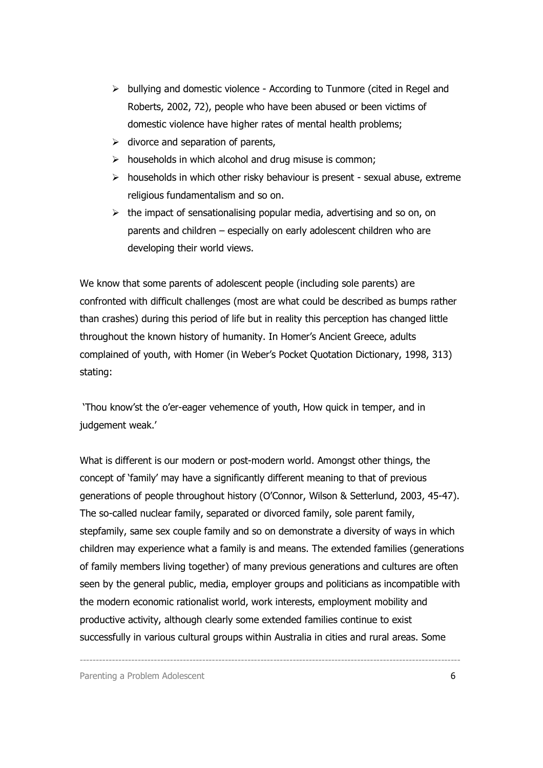- $\triangleright$  bullying and domestic violence According to Tunmore (cited in Regel and Roberts, 2002, 72), people who have been abused or been victims of domestic violence have higher rates of mental health problems;
- $\triangleright$  divorce and separation of parents,
- $\triangleright$  households in which alcohol and drug misuse is common;
- $\triangleright$  households in which other risky behaviour is present sexual abuse, extreme religious fundamentalism and so on.
- $\triangleright$  the impact of sensationalising popular media, advertising and so on, on parents and children – especially on early adolescent children who are developing their world views.

We know that some parents of adolescent people (including sole parents) are confronted with difficult challenges (most are what could be described as bumps rather than crashes) during this period of life but in reality this perception has changed little throughout the known history of humanity. In Homer's Ancient Greece, adults complained of youth, with Homer (in Weber's Pocket Quotation Dictionary, 1998, 313) stating:

 'Thou know'st the o'er-eager vehemence of youth, How quick in temper, and in judgement weak.'

What is different is our modern or post-modern world. Amongst other things, the concept of 'family' may have a significantly different meaning to that of previous generations of people throughout history (O'Connor, Wilson & Setterlund, 2003, 45-47). The so-called nuclear family, separated or divorced family, sole parent family, stepfamily, same sex couple family and so on demonstrate a diversity of ways in which children may experience what a family is and means. The extended families (generations of family members living together) of many previous generations and cultures are often seen by the general public, media, employer groups and politicians as incompatible with the modern economic rationalist world, work interests, employment mobility and productive activity, although clearly some extended families continue to exist successfully in various cultural groups within Australia in cities and rural areas. Some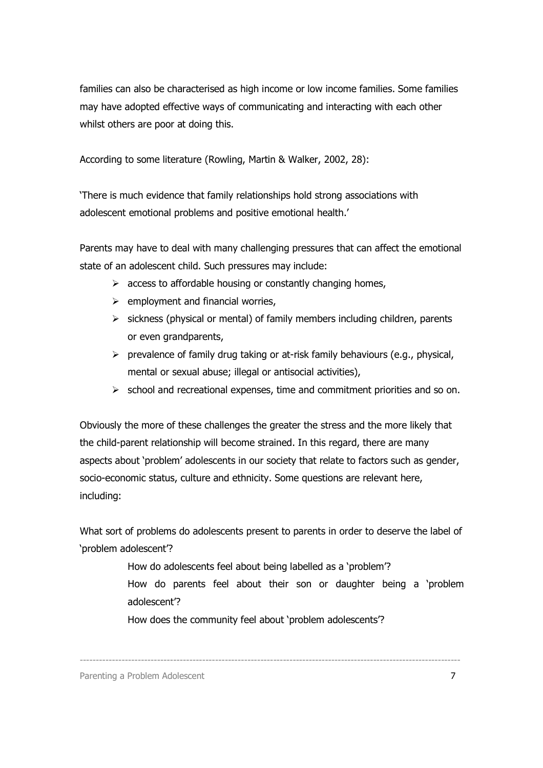families can also be characterised as high income or low income families. Some families may have adopted effective ways of communicating and interacting with each other whilst others are poor at doing this.

According to some literature (Rowling, Martin & Walker, 2002, 28):

'There is much evidence that family relationships hold strong associations with adolescent emotional problems and positive emotional health.'

Parents may have to deal with many challenging pressures that can affect the emotional state of an adolescent child. Such pressures may include:

- $\triangleright$  access to affordable housing or constantly changing homes,
- $\triangleright$  employment and financial worries,
- $\triangleright$  sickness (physical or mental) of family members including children, parents or even grandparents,
- $\triangleright$  prevalence of family drug taking or at-risk family behaviours (e.g., physical, mental or sexual abuse; illegal or antisocial activities),
- $\triangleright$  school and recreational expenses, time and commitment priorities and so on.

Obviously the more of these challenges the greater the stress and the more likely that the child-parent relationship will become strained. In this regard, there are many aspects about 'problem' adolescents in our society that relate to factors such as gender, socio-economic status, culture and ethnicity. Some questions are relevant here, including:

What sort of problems do adolescents present to parents in order to deserve the label of 'problem adolescent'?

> How do adolescents feel about being labelled as a 'problem'? How do parents feel about their son or daughter being a 'problem adolescent'?

How does the community feel about 'problem adolescents'?

----------------------------------------------------------------------------------------------------------------------

Parenting a Problem Adolescent 7 and 2008 and 2008 and 2008 and 2008 and 2008 and 2008 and 2008 and 2008 and 2008 and 2008 and 2008 and 2008 and 2008 and 2008 and 2008 and 2008 and 2008 and 2008 and 2008 and 2008 and 2008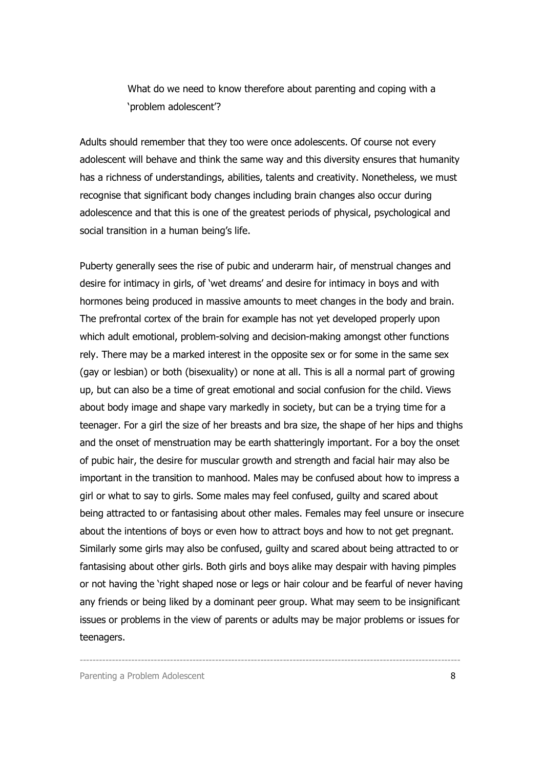What do we need to know therefore about parenting and coping with a 'problem adolescent'?

Adults should remember that they too were once adolescents. Of course not every adolescent will behave and think the same way and this diversity ensures that humanity has a richness of understandings, abilities, talents and creativity. Nonetheless, we must recognise that significant body changes including brain changes also occur during adolescence and that this is one of the greatest periods of physical, psychological and social transition in a human being's life.

Puberty generally sees the rise of pubic and underarm hair, of menstrual changes and desire for intimacy in girls, of 'wet dreams' and desire for intimacy in boys and with hormones being produced in massive amounts to meet changes in the body and brain. The prefrontal cortex of the brain for example has not yet developed properly upon which adult emotional, problem-solving and decision-making amongst other functions rely. There may be a marked interest in the opposite sex or for some in the same sex (gay or lesbian) or both (bisexuality) or none at all. This is all a normal part of growing up, but can also be a time of great emotional and social confusion for the child. Views about body image and shape vary markedly in society, but can be a trying time for a teenager. For a girl the size of her breasts and bra size, the shape of her hips and thighs and the onset of menstruation may be earth shatteringly important. For a boy the onset of pubic hair, the desire for muscular growth and strength and facial hair may also be important in the transition to manhood. Males may be confused about how to impress a girl or what to say to girls. Some males may feel confused, guilty and scared about being attracted to or fantasising about other males. Females may feel unsure or insecure about the intentions of boys or even how to attract boys and how to not get pregnant. Similarly some girls may also be confused, guilty and scared about being attracted to or fantasising about other girls. Both girls and boys alike may despair with having pimples or not having the 'right shaped nose or legs or hair colour and be fearful of never having any friends or being liked by a dominant peer group. What may seem to be insignificant issues or problems in the view of parents or adults may be major problems or issues for teenagers.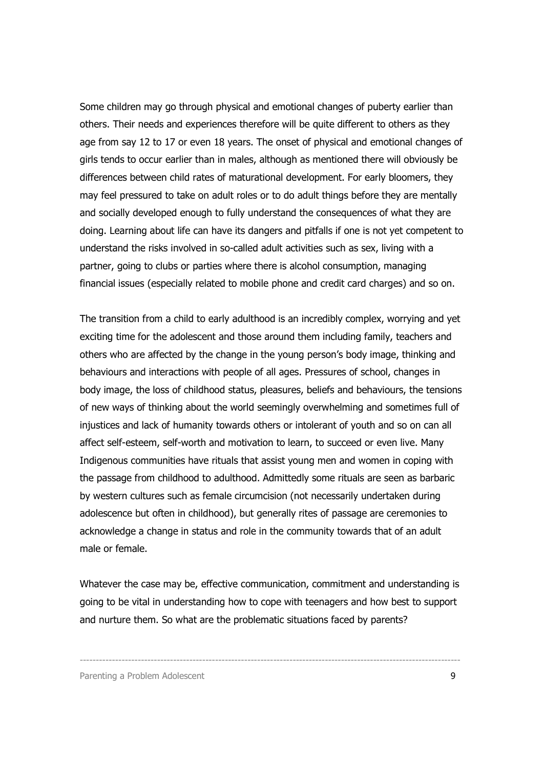Some children may go through physical and emotional changes of puberty earlier than others. Their needs and experiences therefore will be quite different to others as they age from say 12 to 17 or even 18 years. The onset of physical and emotional changes of girls tends to occur earlier than in males, although as mentioned there will obviously be differences between child rates of maturational development. For early bloomers, they may feel pressured to take on adult roles or to do adult things before they are mentally and socially developed enough to fully understand the consequences of what they are doing. Learning about life can have its dangers and pitfalls if one is not yet competent to understand the risks involved in so-called adult activities such as sex, living with a partner, going to clubs or parties where there is alcohol consumption, managing financial issues (especially related to mobile phone and credit card charges) and so on.

The transition from a child to early adulthood is an incredibly complex, worrying and yet exciting time for the adolescent and those around them including family, teachers and others who are affected by the change in the young person's body image, thinking and behaviours and interactions with people of all ages. Pressures of school, changes in body image, the loss of childhood status, pleasures, beliefs and behaviours, the tensions of new ways of thinking about the world seemingly overwhelming and sometimes full of injustices and lack of humanity towards others or intolerant of youth and so on can all affect self-esteem, self-worth and motivation to learn, to succeed or even live. Many Indigenous communities have rituals that assist young men and women in coping with the passage from childhood to adulthood. Admittedly some rituals are seen as barbaric by western cultures such as female circumcision (not necessarily undertaken during adolescence but often in childhood), but generally rites of passage are ceremonies to acknowledge a change in status and role in the community towards that of an adult male or female.

Whatever the case may be, effective communication, commitment and understanding is going to be vital in understanding how to cope with teenagers and how best to support and nurture them. So what are the problematic situations faced by parents?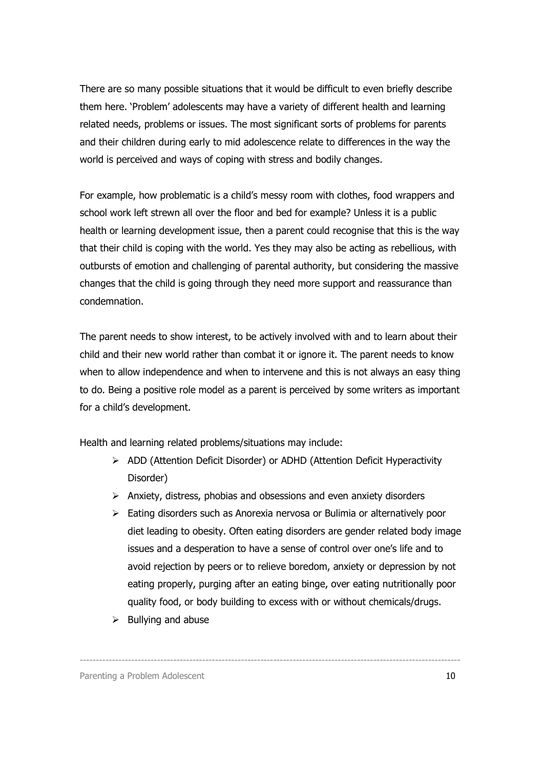There are so many possible situations that it would be difficult to even briefly describe them here. 'Problem' adolescents may have a variety of different health and learning related needs, problems or issues. The most significant sorts of problems for parents and their children during early to mid adolescence relate to differences in the way the world is perceived and ways of coping with stress and bodily changes.

For example, how problematic is a child's messy room with clothes, food wrappers and school work left strewn all over the floor and bed for example? Unless it is a public health or learning development issue, then a parent could recognise that this is the way that their child is coping with the world. Yes they may also be acting as rebellious, with outbursts of emotion and challenging of parental authority, but considering the massive changes that the child is going through they need more support and reassurance than condemnation.

The parent needs to show interest, to be actively involved with and to learn about their child and their new world rather than combat it or ignore it. The parent needs to know when to allow independence and when to intervene and this is not always an easy thing to do. Being a positive role model as a parent is perceived by some writers as important for a child's development.

Health and learning related problems/situations may include:

- ADD (Attention Deficit Disorder) or ADHD (Attention Deficit Hyperactivity Disorder)
- $\triangleright$  Anxiety, distress, phobias and obsessions and even anxiety disorders

- Eating disorders such as Anorexia nervosa or Bulimia or alternatively poor diet leading to obesity. Often eating disorders are gender related body image issues and a desperation to have a sense of control over one's life and to avoid rejection by peers or to relieve boredom, anxiety or depression by not eating properly, purging after an eating binge, over eating nutritionally poor quality food, or body building to excess with or without chemicals/drugs.
- $\triangleright$  Bullying and abuse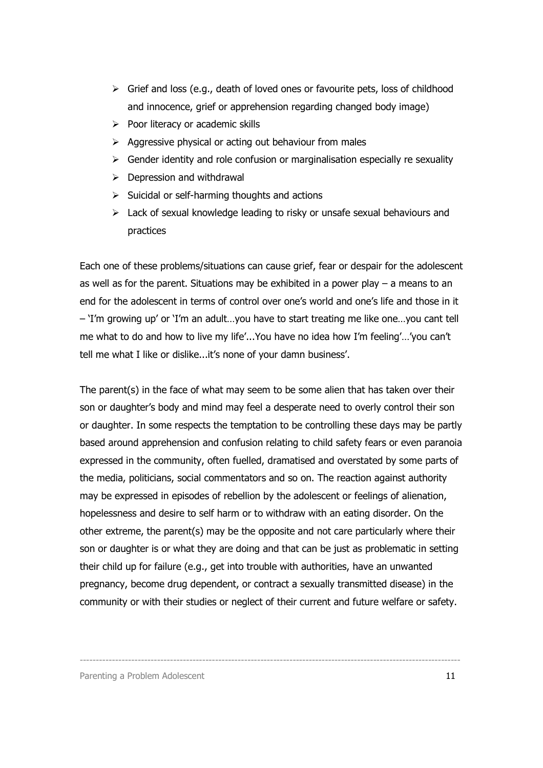- $\triangleright$  Grief and loss (e.g., death of loved ones or favourite pets, loss of childhood and innocence, grief or apprehension regarding changed body image)
- $\triangleright$  Poor literacy or academic skills
- $\triangleright$  Aggressive physical or acting out behaviour from males
- $\triangleright$  Gender identity and role confusion or marginalisation especially re sexuality
- $\triangleright$  Depression and withdrawal
- $\triangleright$  Suicidal or self-harming thoughts and actions
- $\triangleright$  Lack of sexual knowledge leading to risky or unsafe sexual behaviours and practices

Each one of these problems/situations can cause grief, fear or despair for the adolescent as well as for the parent. Situations may be exhibited in a power play  $-$  a means to an end for the adolescent in terms of control over one's world and one's life and those in it – 'I'm growing up' or 'I'm an adult…you have to start treating me like one…you cant tell me what to do and how to live my life'...You have no idea how I'm feeling'…'you can't tell me what I like or dislike...it's none of your damn business'.

The parent(s) in the face of what may seem to be some alien that has taken over their son or daughter's body and mind may feel a desperate need to overly control their son or daughter. In some respects the temptation to be controlling these days may be partly based around apprehension and confusion relating to child safety fears or even paranoia expressed in the community, often fuelled, dramatised and overstated by some parts of the media, politicians, social commentators and so on. The reaction against authority may be expressed in episodes of rebellion by the adolescent or feelings of alienation, hopelessness and desire to self harm or to withdraw with an eating disorder. On the other extreme, the parent(s) may be the opposite and not care particularly where their son or daughter is or what they are doing and that can be just as problematic in setting their child up for failure (e.g., get into trouble with authorities, have an unwanted pregnancy, become drug dependent, or contract a sexually transmitted disease) in the community or with their studies or neglect of their current and future welfare or safety.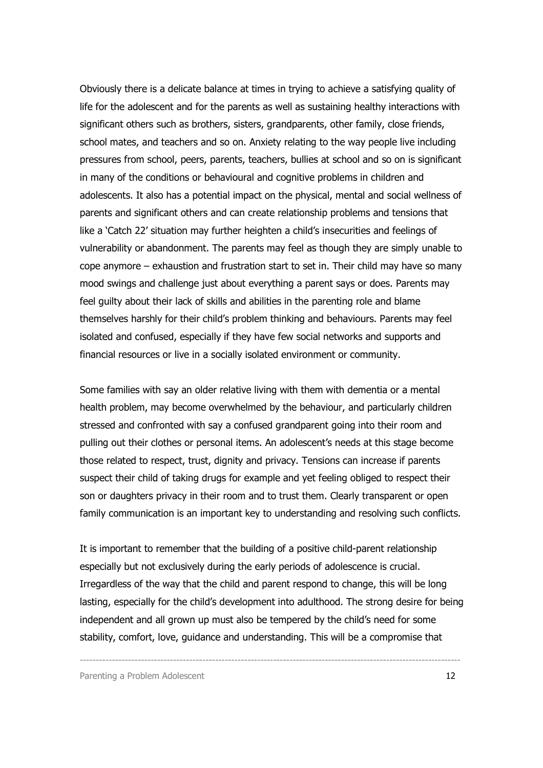Obviously there is a delicate balance at times in trying to achieve a satisfying quality of life for the adolescent and for the parents as well as sustaining healthy interactions with significant others such as brothers, sisters, grandparents, other family, close friends, school mates, and teachers and so on. Anxiety relating to the way people live including pressures from school, peers, parents, teachers, bullies at school and so on is significant in many of the conditions or behavioural and cognitive problems in children and adolescents. It also has a potential impact on the physical, mental and social wellness of parents and significant others and can create relationship problems and tensions that like a 'Catch 22' situation may further heighten a child's insecurities and feelings of vulnerability or abandonment. The parents may feel as though they are simply unable to cope anymore – exhaustion and frustration start to set in. Their child may have so many mood swings and challenge just about everything a parent says or does. Parents may feel guilty about their lack of skills and abilities in the parenting role and blame themselves harshly for their child's problem thinking and behaviours. Parents may feel isolated and confused, especially if they have few social networks and supports and financial resources or live in a socially isolated environment or community.

Some families with say an older relative living with them with dementia or a mental health problem, may become overwhelmed by the behaviour, and particularly children stressed and confronted with say a confused grandparent going into their room and pulling out their clothes or personal items. An adolescent's needs at this stage become those related to respect, trust, dignity and privacy. Tensions can increase if parents suspect their child of taking drugs for example and yet feeling obliged to respect their son or daughters privacy in their room and to trust them. Clearly transparent or open family communication is an important key to understanding and resolving such conflicts.

It is important to remember that the building of a positive child-parent relationship especially but not exclusively during the early periods of adolescence is crucial. Irregardless of the way that the child and parent respond to change, this will be long lasting, especially for the child's development into adulthood. The strong desire for being independent and all grown up must also be tempered by the child's need for some stability, comfort, love, guidance and understanding. This will be a compromise that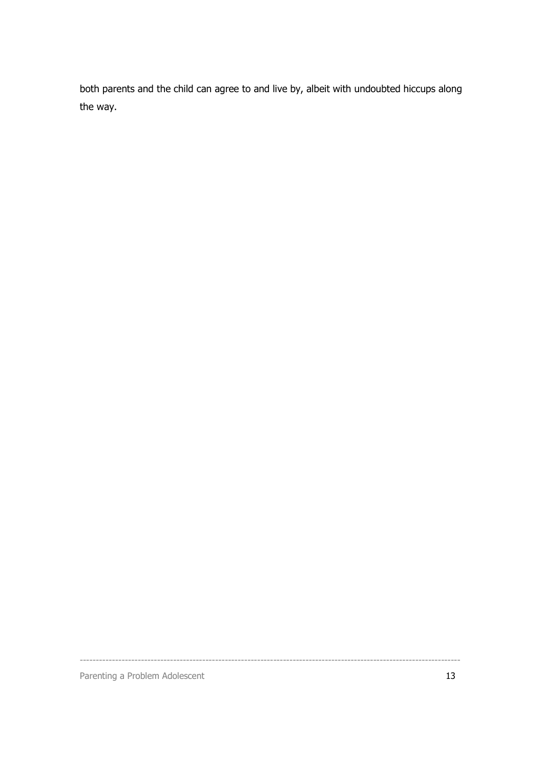both parents and the child can agree to and live by, albeit with undoubted hiccups along the way.

----------------------------------------------------------------------------------------------------------------------

Parenting a Problem Adolescent 13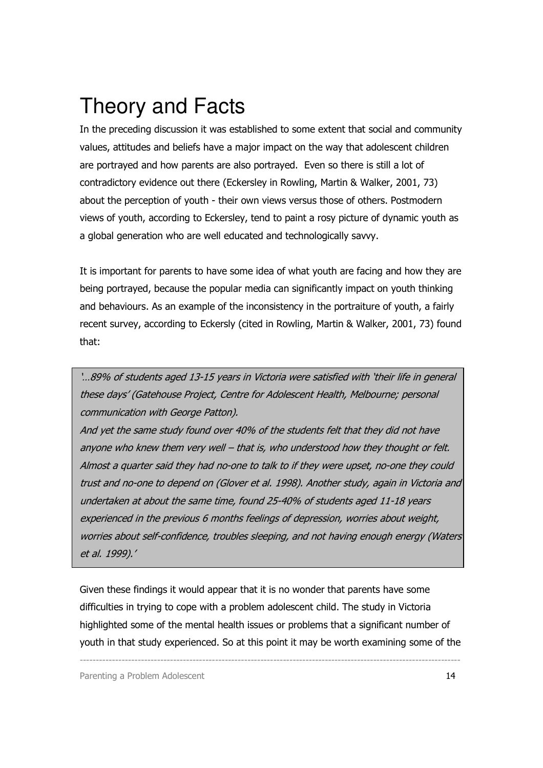### Theory and Facts

In the preceding discussion it was established to some extent that social and community values, attitudes and beliefs have a major impact on the way that adolescent children are portrayed and how parents are also portrayed. Even so there is still a lot of contradictory evidence out there (Eckersley in Rowling, Martin & Walker, 2001, 73) about the perception of youth - their own views versus those of others. Postmodern views of youth, according to Eckersley, tend to paint a rosy picture of dynamic youth as a global generation who are well educated and technologically savvy.

It is important for parents to have some idea of what youth are facing and how they are being portrayed, because the popular media can significantly impact on youth thinking and behaviours. As an example of the inconsistency in the portraiture of youth, a fairly recent survey, according to Eckersly (cited in Rowling, Martin & Walker, 2001, 73) found that:

'…89% of students aged 13-15 years in Victoria were satisfied with 'their life in general these days' (Gatehouse Project, Centre for Adolescent Health, Melbourne; personal communication with George Patton).

And yet the same study found over 40% of the students felt that they did not have anyone who knew them very well – that is, who understood how they thought or felt. Almost a quarter said they had no-one to talk to if they were upset, no-one they could trust and no-one to depend on (Glover et al. 1998). Another study, again in Victoria and undertaken at about the same time, found 25-40% of students aged 11-18 years experienced in the previous 6 months feelings of depression, worries about weight, worries about self-confidence, troubles sleeping, and not having enough energy (Waters et al. 1999).'

Given these findings it would appear that it is no wonder that parents have some difficulties in trying to cope with a problem adolescent child. The study in Victoria highlighted some of the mental health issues or problems that a significant number of youth in that study experienced. So at this point it may be worth examining some of the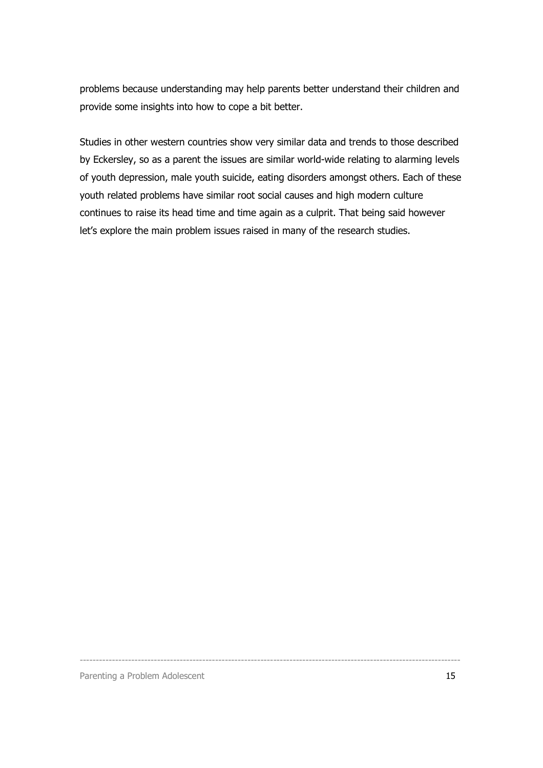problems because understanding may help parents better understand their children and provide some insights into how to cope a bit better.

Studies in other western countries show very similar data and trends to those described by Eckersley, so as a parent the issues are similar world-wide relating to alarming levels of youth depression, male youth suicide, eating disorders amongst others. Each of these youth related problems have similar root social causes and high modern culture continues to raise its head time and time again as a culprit. That being said however let's explore the main problem issues raised in many of the research studies.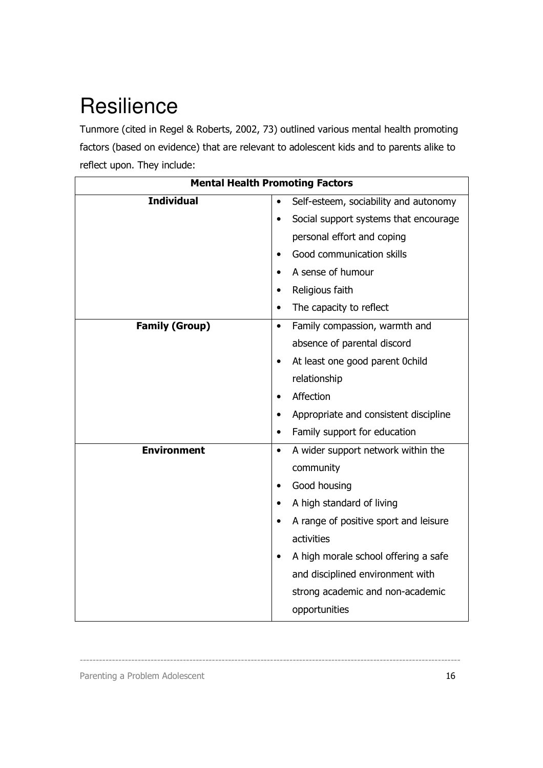# **Resilience**

Tunmore (cited in Regel & Roberts, 2002, 73) outlined various mental health promoting factors (based on evidence) that are relevant to adolescent kids and to parents alike to reflect upon. They include:

| <b>Mental Health Promoting Factors</b> |                                                    |  |
|----------------------------------------|----------------------------------------------------|--|
| <b>Individual</b>                      | Self-esteem, sociability and autonomy<br>$\bullet$ |  |
|                                        | Social support systems that encourage              |  |
|                                        | personal effort and coping                         |  |
|                                        | Good communication skills                          |  |
|                                        | A sense of humour                                  |  |
|                                        | Religious faith<br>$\bullet$                       |  |
|                                        | The capacity to reflect                            |  |
| <b>Family (Group)</b>                  | Family compassion, warmth and<br>$\bullet$         |  |
|                                        | absence of parental discord                        |  |
|                                        | At least one good parent 0child<br>$\bullet$       |  |
|                                        | relationship                                       |  |
|                                        | Affection                                          |  |
|                                        | Appropriate and consistent discipline              |  |
|                                        | Family support for education                       |  |
| <b>Environment</b>                     | A wider support network within the<br>$\bullet$    |  |
|                                        | community                                          |  |
|                                        | Good housing                                       |  |
|                                        | A high standard of living                          |  |
|                                        | A range of positive sport and leisure              |  |
|                                        | activities                                         |  |
|                                        | A high morale school offering a safe               |  |
|                                        | and disciplined environment with                   |  |
|                                        | strong academic and non-academic                   |  |
|                                        | opportunities                                      |  |

----------------------------------------------------------------------------------------------------------------------

Parenting a Problem Adolescent 16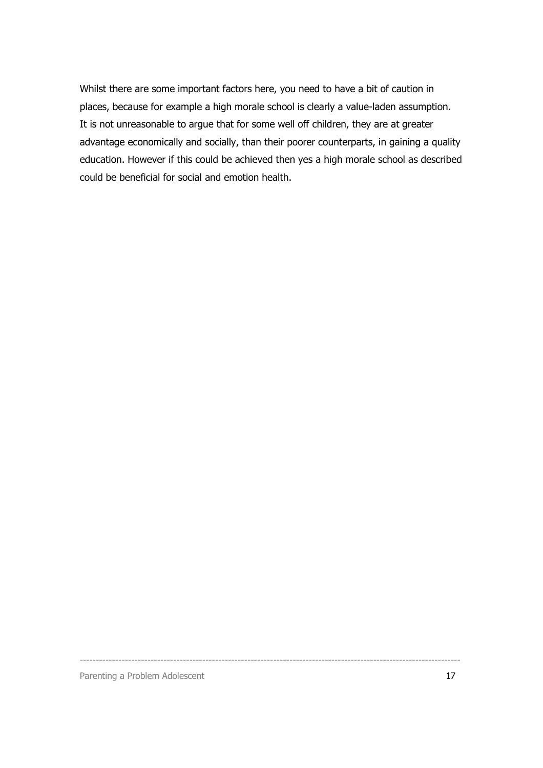Whilst there are some important factors here, you need to have a bit of caution in places, because for example a high morale school is clearly a value-laden assumption. It is not unreasonable to argue that for some well off children, they are at greater advantage economically and socially, than their poorer counterparts, in gaining a quality education. However if this could be achieved then yes a high morale school as described could be beneficial for social and emotion health.

Parenting a Problem Adolescent 17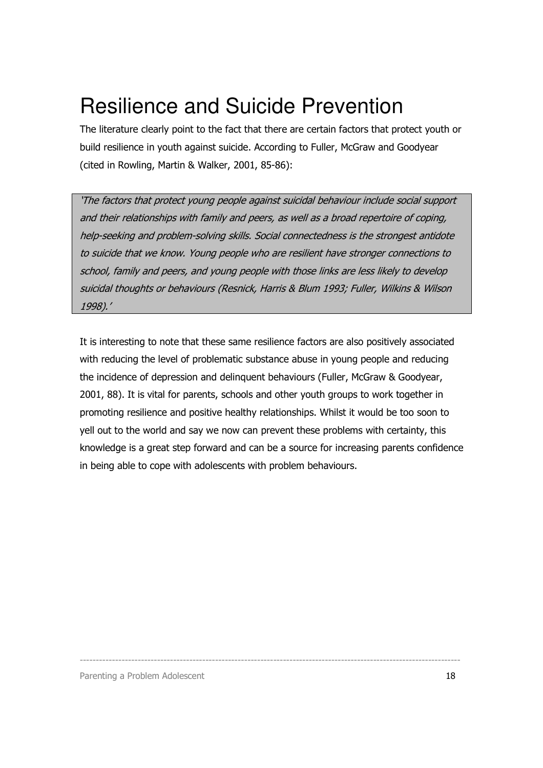### Resilience and Suicide Prevention

The literature clearly point to the fact that there are certain factors that protect youth or build resilience in youth against suicide. According to Fuller, McGraw and Goodyear (cited in Rowling, Martin & Walker, 2001, 85-86):

'The factors that protect young people against suicidal behaviour include social support and their relationships with family and peers, as well as a broad repertoire of coping, help-seeking and problem-solving skills. Social connectedness is the strongest antidote to suicide that we know. Young people who are resilient have stronger connections to school, family and peers, and young people with those links are less likely to develop suicidal thoughts or behaviours (Resnick, Harris & Blum 1993; Fuller, Wilkins & Wilson 1998).'

It is interesting to note that these same resilience factors are also positively associated with reducing the level of problematic substance abuse in young people and reducing the incidence of depression and delinquent behaviours (Fuller, McGraw & Goodyear, 2001, 88). It is vital for parents, schools and other youth groups to work together in promoting resilience and positive healthy relationships. Whilst it would be too soon to yell out to the world and say we now can prevent these problems with certainty, this knowledge is a great step forward and can be a source for increasing parents confidence in being able to cope with adolescents with problem behaviours.

----------------------------------------------------------------------------------------------------------------------

Parenting a Problem Adolescent 18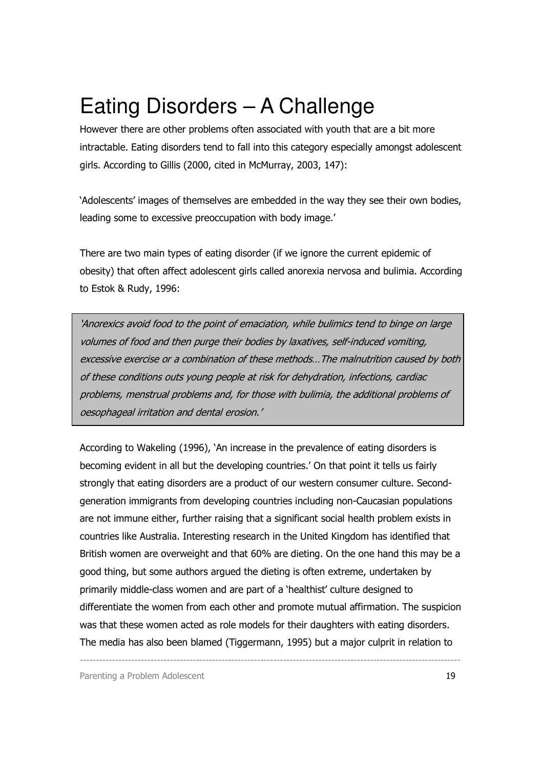## Eating Disorders – A Challenge

However there are other problems often associated with youth that are a bit more intractable. Eating disorders tend to fall into this category especially amongst adolescent girls. According to Gillis (2000, cited in McMurray, 2003, 147):

'Adolescents' images of themselves are embedded in the way they see their own bodies, leading some to excessive preoccupation with body image.'

There are two main types of eating disorder (if we ignore the current epidemic of obesity) that often affect adolescent girls called anorexia nervosa and bulimia. According to Estok & Rudy, 1996:

'Anorexics avoid food to the point of emaciation, while bulimics tend to binge on large volumes of food and then purge their bodies by laxatives, self-induced vomiting, excessive exercise or a combination of these methods…The malnutrition caused by both of these conditions outs young people at risk for dehydration, infections, cardiac problems, menstrual problems and, for those with bulimia, the additional problems of oesophageal irritation and dental erosion.'

According to Wakeling (1996), 'An increase in the prevalence of eating disorders is becoming evident in all but the developing countries.' On that point it tells us fairly strongly that eating disorders are a product of our western consumer culture. Secondgeneration immigrants from developing countries including non-Caucasian populations are not immune either, further raising that a significant social health problem exists in countries like Australia. Interesting research in the United Kingdom has identified that British women are overweight and that 60% are dieting. On the one hand this may be a good thing, but some authors argued the dieting is often extreme, undertaken by primarily middle-class women and are part of a 'healthist' culture designed to differentiate the women from each other and promote mutual affirmation. The suspicion was that these women acted as role models for their daughters with eating disorders. The media has also been blamed (Tiggermann, 1995) but a major culprit in relation to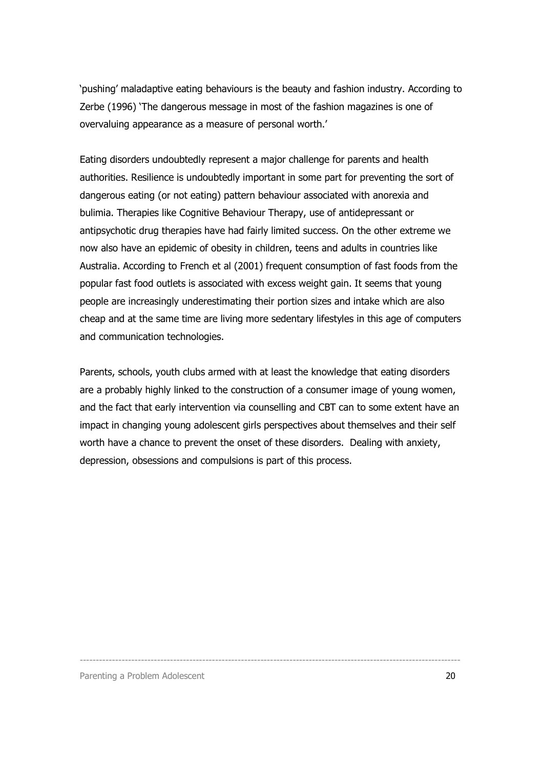'pushing' maladaptive eating behaviours is the beauty and fashion industry. According to Zerbe (1996) 'The dangerous message in most of the fashion magazines is one of overvaluing appearance as a measure of personal worth.'

Eating disorders undoubtedly represent a major challenge for parents and health authorities. Resilience is undoubtedly important in some part for preventing the sort of dangerous eating (or not eating) pattern behaviour associated with anorexia and bulimia. Therapies like Cognitive Behaviour Therapy, use of antidepressant or antipsychotic drug therapies have had fairly limited success. On the other extreme we now also have an epidemic of obesity in children, teens and adults in countries like Australia. According to French et al (2001) frequent consumption of fast foods from the popular fast food outlets is associated with excess weight gain. It seems that young people are increasingly underestimating their portion sizes and intake which are also cheap and at the same time are living more sedentary lifestyles in this age of computers and communication technologies.

Parents, schools, youth clubs armed with at least the knowledge that eating disorders are a probably highly linked to the construction of a consumer image of young women, and the fact that early intervention via counselling and CBT can to some extent have an impact in changing young adolescent girls perspectives about themselves and their self worth have a chance to prevent the onset of these disorders. Dealing with anxiety, depression, obsessions and compulsions is part of this process.

----------------------------------------------------------------------------------------------------------------------

Parenting a Problem Adolescent 20 and 20 and 20 and 20 and 20 and 20 and 20 and 20 and 20 and 20 and 20 and 20  $\mu$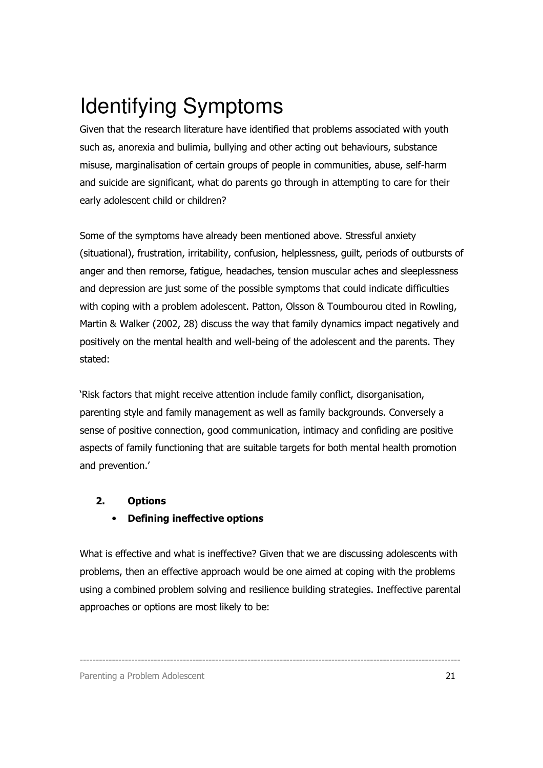# Identifying Symptoms

Given that the research literature have identified that problems associated with youth such as, anorexia and bulimia, bullying and other acting out behaviours, substance misuse, marginalisation of certain groups of people in communities, abuse, self-harm and suicide are significant, what do parents go through in attempting to care for their early adolescent child or children?

Some of the symptoms have already been mentioned above. Stressful anxiety (situational), frustration, irritability, confusion, helplessness, guilt, periods of outbursts of anger and then remorse, fatigue, headaches, tension muscular aches and sleeplessness and depression are just some of the possible symptoms that could indicate difficulties with coping with a problem adolescent. Patton, Olsson & Toumbourou cited in Rowling, Martin & Walker (2002, 28) discuss the way that family dynamics impact negatively and positively on the mental health and well-being of the adolescent and the parents. They stated:

'Risk factors that might receive attention include family conflict, disorganisation, parenting style and family management as well as family backgrounds. Conversely a sense of positive connection, good communication, intimacy and confiding are positive aspects of family functioning that are suitable targets for both mental health promotion and prevention.'

#### 2. Options

#### • Defining ineffective options

What is effective and what is ineffective? Given that we are discussing adolescents with problems, then an effective approach would be one aimed at coping with the problems using a combined problem solving and resilience building strategies. Ineffective parental approaches or options are most likely to be: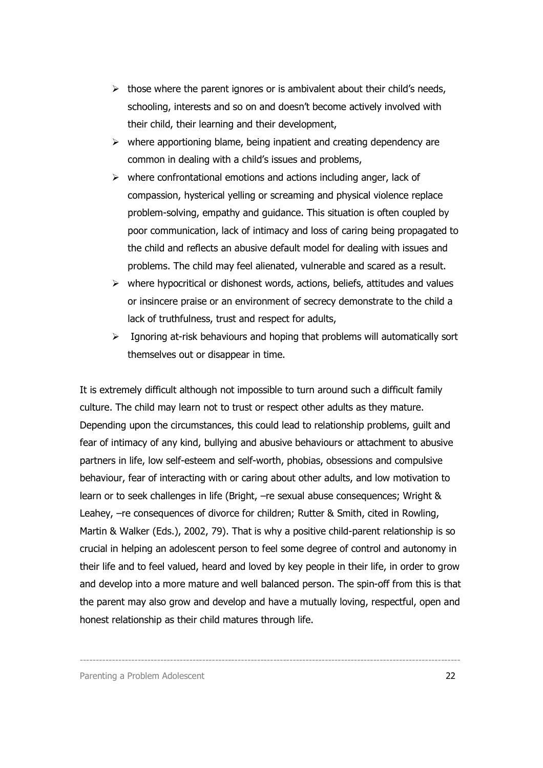- $\triangleright$  those where the parent ignores or is ambivalent about their child's needs, schooling, interests and so on and doesn't become actively involved with their child, their learning and their development,
- $\triangleright$  where apportioning blame, being inpatient and creating dependency are common in dealing with a child's issues and problems,
- $\triangleright$  where confrontational emotions and actions including anger, lack of compassion, hysterical yelling or screaming and physical violence replace problem-solving, empathy and guidance. This situation is often coupled by poor communication, lack of intimacy and loss of caring being propagated to the child and reflects an abusive default model for dealing with issues and problems. The child may feel alienated, vulnerable and scared as a result.
- $\triangleright$  where hypocritical or dishonest words, actions, beliefs, attitudes and values or insincere praise or an environment of secrecy demonstrate to the child a lack of truthfulness, trust and respect for adults,
- $\geq$  Ignoring at-risk behaviours and hoping that problems will automatically sort themselves out or disappear in time.

It is extremely difficult although not impossible to turn around such a difficult family culture. The child may learn not to trust or respect other adults as they mature. Depending upon the circumstances, this could lead to relationship problems, guilt and fear of intimacy of any kind, bullying and abusive behaviours or attachment to abusive partners in life, low self-esteem and self-worth, phobias, obsessions and compulsive behaviour, fear of interacting with or caring about other adults, and low motivation to learn or to seek challenges in life (Bright, –re sexual abuse consequences; Wright & Leahey, –re consequences of divorce for children; Rutter & Smith, cited in Rowling, Martin & Walker (Eds.), 2002, 79). That is why a positive child-parent relationship is so crucial in helping an adolescent person to feel some degree of control and autonomy in their life and to feel valued, heard and loved by key people in their life, in order to grow and develop into a more mature and well balanced person. The spin-off from this is that the parent may also grow and develop and have a mutually loving, respectful, open and honest relationship as their child matures through life.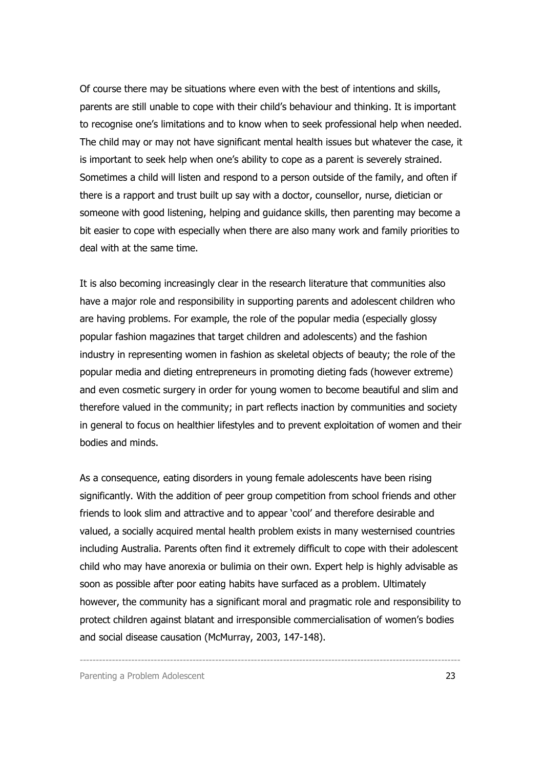Of course there may be situations where even with the best of intentions and skills, parents are still unable to cope with their child's behaviour and thinking. It is important to recognise one's limitations and to know when to seek professional help when needed. The child may or may not have significant mental health issues but whatever the case, it is important to seek help when one's ability to cope as a parent is severely strained. Sometimes a child will listen and respond to a person outside of the family, and often if there is a rapport and trust built up say with a doctor, counsellor, nurse, dietician or someone with good listening, helping and guidance skills, then parenting may become a bit easier to cope with especially when there are also many work and family priorities to deal with at the same time.

It is also becoming increasingly clear in the research literature that communities also have a major role and responsibility in supporting parents and adolescent children who are having problems. For example, the role of the popular media (especially glossy popular fashion magazines that target children and adolescents) and the fashion industry in representing women in fashion as skeletal objects of beauty; the role of the popular media and dieting entrepreneurs in promoting dieting fads (however extreme) and even cosmetic surgery in order for young women to become beautiful and slim and therefore valued in the community; in part reflects inaction by communities and society in general to focus on healthier lifestyles and to prevent exploitation of women and their bodies and minds.

As a consequence, eating disorders in young female adolescents have been rising significantly. With the addition of peer group competition from school friends and other friends to look slim and attractive and to appear 'cool' and therefore desirable and valued, a socially acquired mental health problem exists in many westernised countries including Australia. Parents often find it extremely difficult to cope with their adolescent child who may have anorexia or bulimia on their own. Expert help is highly advisable as soon as possible after poor eating habits have surfaced as a problem. Ultimately however, the community has a significant moral and pragmatic role and responsibility to protect children against blatant and irresponsible commercialisation of women's bodies and social disease causation (McMurray, 2003, 147-148).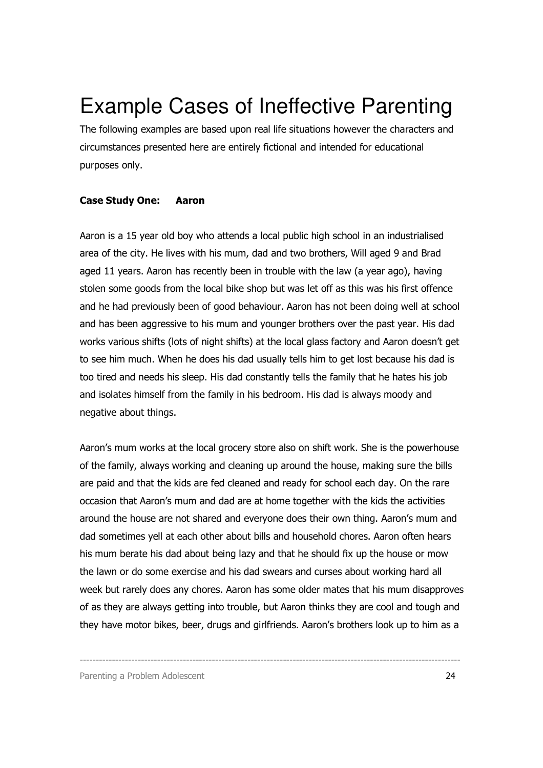### Example Cases of Ineffective Parenting

The following examples are based upon real life situations however the characters and circumstances presented here are entirely fictional and intended for educational purposes only.

#### Case Study One: Aaron

Aaron is a 15 year old boy who attends a local public high school in an industrialised area of the city. He lives with his mum, dad and two brothers, Will aged 9 and Brad aged 11 years. Aaron has recently been in trouble with the law (a year ago), having stolen some goods from the local bike shop but was let off as this was his first offence and he had previously been of good behaviour. Aaron has not been doing well at school and has been aggressive to his mum and younger brothers over the past year. His dad works various shifts (lots of night shifts) at the local glass factory and Aaron doesn't get to see him much. When he does his dad usually tells him to get lost because his dad is too tired and needs his sleep. His dad constantly tells the family that he hates his job and isolates himself from the family in his bedroom. His dad is always moody and negative about things.

Aaron's mum works at the local grocery store also on shift work. She is the powerhouse of the family, always working and cleaning up around the house, making sure the bills are paid and that the kids are fed cleaned and ready for school each day. On the rare occasion that Aaron's mum and dad are at home together with the kids the activities around the house are not shared and everyone does their own thing. Aaron's mum and dad sometimes yell at each other about bills and household chores. Aaron often hears his mum berate his dad about being lazy and that he should fix up the house or mow the lawn or do some exercise and his dad swears and curses about working hard all week but rarely does any chores. Aaron has some older mates that his mum disapproves of as they are always getting into trouble, but Aaron thinks they are cool and tough and they have motor bikes, beer, drugs and girlfriends. Aaron's brothers look up to him as a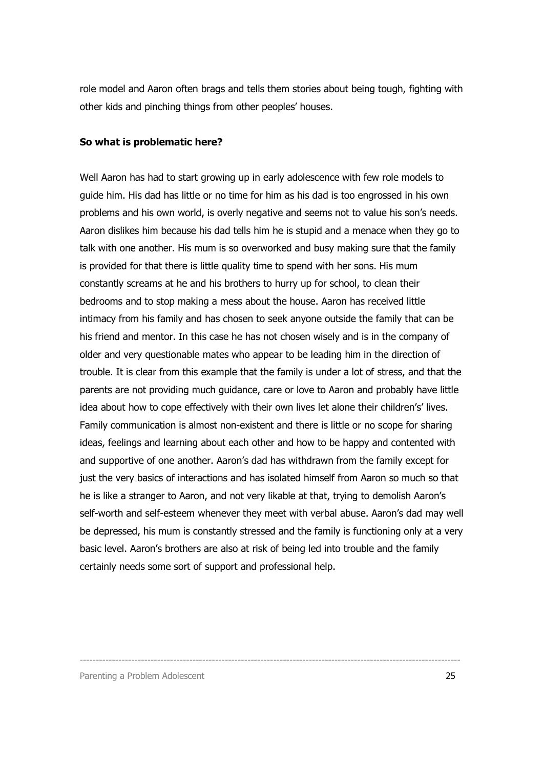role model and Aaron often brags and tells them stories about being tough, fighting with other kids and pinching things from other peoples' houses.

#### So what is problematic here?

Well Aaron has had to start growing up in early adolescence with few role models to guide him. His dad has little or no time for him as his dad is too engrossed in his own problems and his own world, is overly negative and seems not to value his son's needs. Aaron dislikes him because his dad tells him he is stupid and a menace when they go to talk with one another. His mum is so overworked and busy making sure that the family is provided for that there is little quality time to spend with her sons. His mum constantly screams at he and his brothers to hurry up for school, to clean their bedrooms and to stop making a mess about the house. Aaron has received little intimacy from his family and has chosen to seek anyone outside the family that can be his friend and mentor. In this case he has not chosen wisely and is in the company of older and very questionable mates who appear to be leading him in the direction of trouble. It is clear from this example that the family is under a lot of stress, and that the parents are not providing much guidance, care or love to Aaron and probably have little idea about how to cope effectively with their own lives let alone their children's' lives. Family communication is almost non-existent and there is little or no scope for sharing ideas, feelings and learning about each other and how to be happy and contented with and supportive of one another. Aaron's dad has withdrawn from the family except for just the very basics of interactions and has isolated himself from Aaron so much so that he is like a stranger to Aaron, and not very likable at that, trying to demolish Aaron's self-worth and self-esteem whenever they meet with verbal abuse. Aaron's dad may well be depressed, his mum is constantly stressed and the family is functioning only at a very basic level. Aaron's brothers are also at risk of being led into trouble and the family certainly needs some sort of support and professional help.

----------------------------------------------------------------------------------------------------------------------

Parenting a Problem Adolescent 25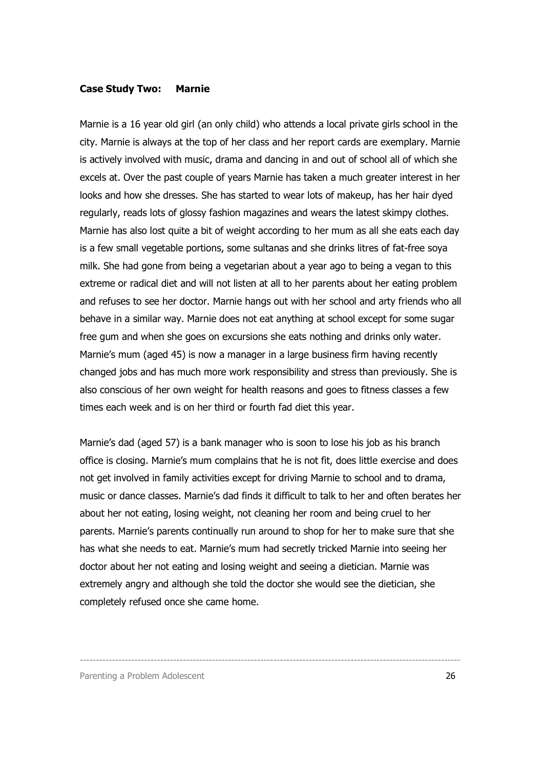#### Case Study Two: Marnie

Marnie is a 16 year old girl (an only child) who attends a local private girls school in the city. Marnie is always at the top of her class and her report cards are exemplary. Marnie is actively involved with music, drama and dancing in and out of school all of which she excels at. Over the past couple of years Marnie has taken a much greater interest in her looks and how she dresses. She has started to wear lots of makeup, has her hair dyed regularly, reads lots of glossy fashion magazines and wears the latest skimpy clothes. Marnie has also lost quite a bit of weight according to her mum as all she eats each day is a few small vegetable portions, some sultanas and she drinks litres of fat-free soya milk. She had gone from being a vegetarian about a year ago to being a vegan to this extreme or radical diet and will not listen at all to her parents about her eating problem and refuses to see her doctor. Marnie hangs out with her school and arty friends who all behave in a similar way. Marnie does not eat anything at school except for some sugar free gum and when she goes on excursions she eats nothing and drinks only water. Marnie's mum (aged 45) is now a manager in a large business firm having recently changed jobs and has much more work responsibility and stress than previously. She is also conscious of her own weight for health reasons and goes to fitness classes a few times each week and is on her third or fourth fad diet this year.

Marnie's dad (aged 57) is a bank manager who is soon to lose his job as his branch office is closing. Marnie's mum complains that he is not fit, does little exercise and does not get involved in family activities except for driving Marnie to school and to drama, music or dance classes. Marnie's dad finds it difficult to talk to her and often berates her about her not eating, losing weight, not cleaning her room and being cruel to her parents. Marnie's parents continually run around to shop for her to make sure that she has what she needs to eat. Marnie's mum had secretly tricked Marnie into seeing her doctor about her not eating and losing weight and seeing a dietician. Marnie was extremely angry and although she told the doctor she would see the dietician, she completely refused once she came home.

----------------------------------------------------------------------------------------------------------------------

Parenting a Problem Adolescent 26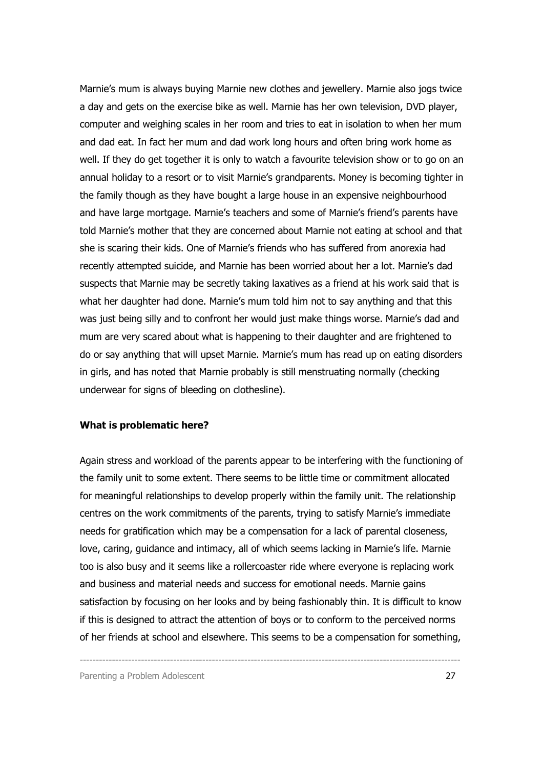Marnie's mum is always buying Marnie new clothes and jewellery. Marnie also jogs twice a day and gets on the exercise bike as well. Marnie has her own television, DVD player, computer and weighing scales in her room and tries to eat in isolation to when her mum and dad eat. In fact her mum and dad work long hours and often bring work home as well. If they do get together it is only to watch a favourite television show or to go on an annual holiday to a resort or to visit Marnie's grandparents. Money is becoming tighter in the family though as they have bought a large house in an expensive neighbourhood and have large mortgage. Marnie's teachers and some of Marnie's friend's parents have told Marnie's mother that they are concerned about Marnie not eating at school and that she is scaring their kids. One of Marnie's friends who has suffered from anorexia had recently attempted suicide, and Marnie has been worried about her a lot. Marnie's dad suspects that Marnie may be secretly taking laxatives as a friend at his work said that is what her daughter had done. Marnie's mum told him not to say anything and that this was just being silly and to confront her would just make things worse. Marnie's dad and mum are very scared about what is happening to their daughter and are frightened to do or say anything that will upset Marnie. Marnie's mum has read up on eating disorders in girls, and has noted that Marnie probably is still menstruating normally (checking underwear for signs of bleeding on clothesline).

#### What is problematic here?

Again stress and workload of the parents appear to be interfering with the functioning of the family unit to some extent. There seems to be little time or commitment allocated for meaningful relationships to develop properly within the family unit. The relationship centres on the work commitments of the parents, trying to satisfy Marnie's immediate needs for gratification which may be a compensation for a lack of parental closeness, love, caring, guidance and intimacy, all of which seems lacking in Marnie's life. Marnie too is also busy and it seems like a rollercoaster ride where everyone is replacing work and business and material needs and success for emotional needs. Marnie gains satisfaction by focusing on her looks and by being fashionably thin. It is difficult to know if this is designed to attract the attention of boys or to conform to the perceived norms of her friends at school and elsewhere. This seems to be a compensation for something,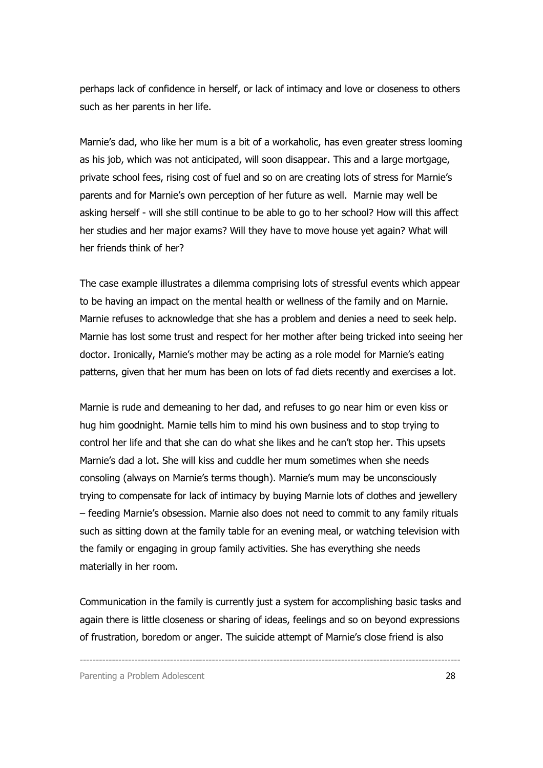perhaps lack of confidence in herself, or lack of intimacy and love or closeness to others such as her parents in her life.

Marnie's dad, who like her mum is a bit of a workaholic, has even greater stress looming as his job, which was not anticipated, will soon disappear. This and a large mortgage, private school fees, rising cost of fuel and so on are creating lots of stress for Marnie's parents and for Marnie's own perception of her future as well. Marnie may well be asking herself - will she still continue to be able to go to her school? How will this affect her studies and her major exams? Will they have to move house yet again? What will her friends think of her?

The case example illustrates a dilemma comprising lots of stressful events which appear to be having an impact on the mental health or wellness of the family and on Marnie. Marnie refuses to acknowledge that she has a problem and denies a need to seek help. Marnie has lost some trust and respect for her mother after being tricked into seeing her doctor. Ironically, Marnie's mother may be acting as a role model for Marnie's eating patterns, given that her mum has been on lots of fad diets recently and exercises a lot.

Marnie is rude and demeaning to her dad, and refuses to go near him or even kiss or hug him goodnight. Marnie tells him to mind his own business and to stop trying to control her life and that she can do what she likes and he can't stop her. This upsets Marnie's dad a lot. She will kiss and cuddle her mum sometimes when she needs consoling (always on Marnie's terms though). Marnie's mum may be unconsciously trying to compensate for lack of intimacy by buying Marnie lots of clothes and jewellery – feeding Marnie's obsession. Marnie also does not need to commit to any family rituals such as sitting down at the family table for an evening meal, or watching television with the family or engaging in group family activities. She has everything she needs materially in her room.

Communication in the family is currently just a system for accomplishing basic tasks and again there is little closeness or sharing of ideas, feelings and so on beyond expressions of frustration, boredom or anger. The suicide attempt of Marnie's close friend is also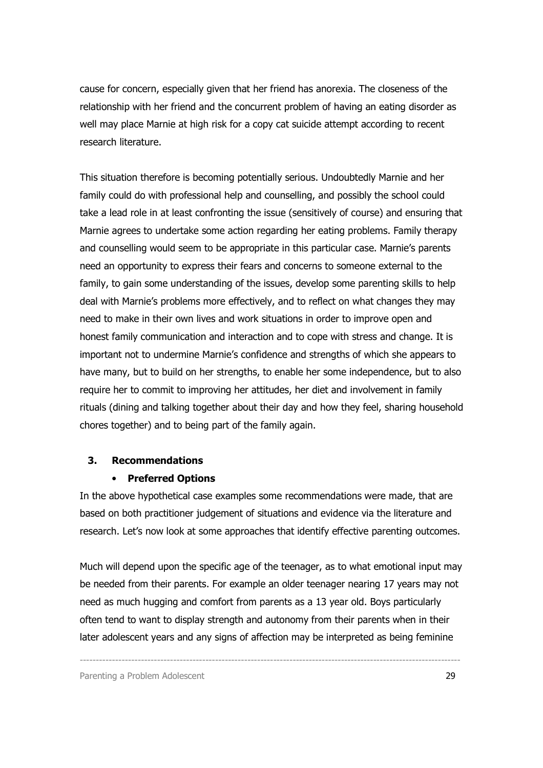cause for concern, especially given that her friend has anorexia. The closeness of the relationship with her friend and the concurrent problem of having an eating disorder as well may place Marnie at high risk for a copy cat suicide attempt according to recent research literature.

This situation therefore is becoming potentially serious. Undoubtedly Marnie and her family could do with professional help and counselling, and possibly the school could take a lead role in at least confronting the issue (sensitively of course) and ensuring that Marnie agrees to undertake some action regarding her eating problems. Family therapy and counselling would seem to be appropriate in this particular case. Marnie's parents need an opportunity to express their fears and concerns to someone external to the family, to gain some understanding of the issues, develop some parenting skills to help deal with Marnie's problems more effectively, and to reflect on what changes they may need to make in their own lives and work situations in order to improve open and honest family communication and interaction and to cope with stress and change. It is important not to undermine Marnie's confidence and strengths of which she appears to have many, but to build on her strengths, to enable her some independence, but to also require her to commit to improving her attitudes, her diet and involvement in family rituals (dining and talking together about their day and how they feel, sharing household chores together) and to being part of the family again.

#### 3. Recommendations

#### • Preferred Options

In the above hypothetical case examples some recommendations were made, that are based on both practitioner judgement of situations and evidence via the literature and research. Let's now look at some approaches that identify effective parenting outcomes.

Much will depend upon the specific age of the teenager, as to what emotional input may be needed from their parents. For example an older teenager nearing 17 years may not need as much hugging and comfort from parents as a 13 year old. Boys particularly often tend to want to display strength and autonomy from their parents when in their later adolescent years and any signs of affection may be interpreted as being feminine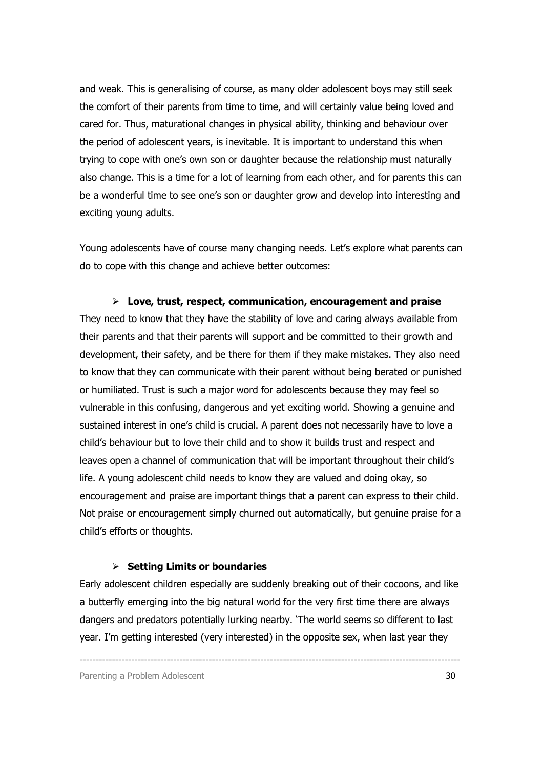and weak. This is generalising of course, as many older adolescent boys may still seek the comfort of their parents from time to time, and will certainly value being loved and cared for. Thus, maturational changes in physical ability, thinking and behaviour over the period of adolescent years, is inevitable. It is important to understand this when trying to cope with one's own son or daughter because the relationship must naturally also change. This is a time for a lot of learning from each other, and for parents this can be a wonderful time to see one's son or daughter grow and develop into interesting and exciting young adults.

Young adolescents have of course many changing needs. Let's explore what parents can do to cope with this change and achieve better outcomes:

 $\triangleright$  Love, trust, respect, communication, encouragement and praise They need to know that they have the stability of love and caring always available from their parents and that their parents will support and be committed to their growth and development, their safety, and be there for them if they make mistakes. They also need to know that they can communicate with their parent without being berated or punished or humiliated. Trust is such a major word for adolescents because they may feel so vulnerable in this confusing, dangerous and yet exciting world. Showing a genuine and sustained interest in one's child is crucial. A parent does not necessarily have to love a child's behaviour but to love their child and to show it builds trust and respect and leaves open a channel of communication that will be important throughout their child's life. A young adolescent child needs to know they are valued and doing okay, so encouragement and praise are important things that a parent can express to their child. Not praise or encouragement simply churned out automatically, but genuine praise for a child's efforts or thoughts.

#### $\triangleright$  Setting Limits or boundaries

Early adolescent children especially are suddenly breaking out of their cocoons, and like a butterfly emerging into the big natural world for the very first time there are always dangers and predators potentially lurking nearby. 'The world seems so different to last year. I'm getting interested (very interested) in the opposite sex, when last year they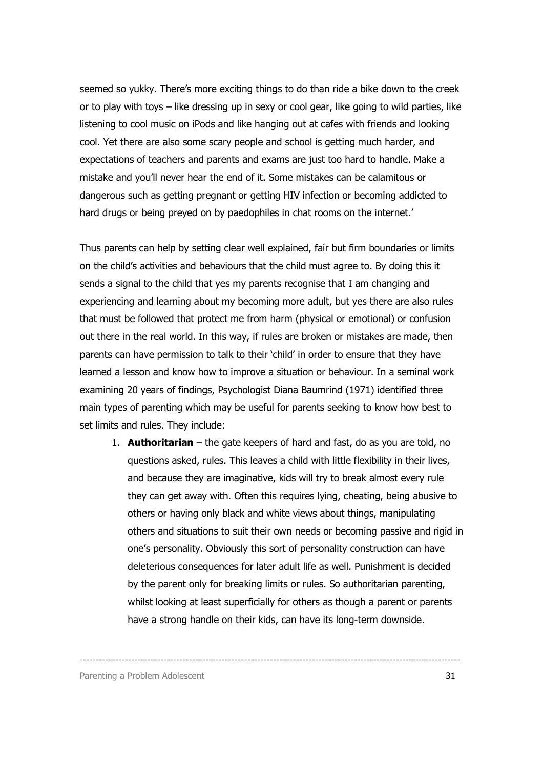seemed so yukky. There's more exciting things to do than ride a bike down to the creek or to play with toys – like dressing up in sexy or cool gear, like going to wild parties, like listening to cool music on iPods and like hanging out at cafes with friends and looking cool. Yet there are also some scary people and school is getting much harder, and expectations of teachers and parents and exams are just too hard to handle. Make a mistake and you'll never hear the end of it. Some mistakes can be calamitous or dangerous such as getting pregnant or getting HIV infection or becoming addicted to hard drugs or being preyed on by paedophiles in chat rooms on the internet.'

Thus parents can help by setting clear well explained, fair but firm boundaries or limits on the child's activities and behaviours that the child must agree to. By doing this it sends a signal to the child that yes my parents recognise that I am changing and experiencing and learning about my becoming more adult, but yes there are also rules that must be followed that protect me from harm (physical or emotional) or confusion out there in the real world. In this way, if rules are broken or mistakes are made, then parents can have permission to talk to their 'child' in order to ensure that they have learned a lesson and know how to improve a situation or behaviour. In a seminal work examining 20 years of findings, Psychologist Diana Baumrind (1971) identified three main types of parenting which may be useful for parents seeking to know how best to set limits and rules. They include:

1. **Authoritarian** – the gate keepers of hard and fast, do as you are told, no questions asked, rules. This leaves a child with little flexibility in their lives, and because they are imaginative, kids will try to break almost every rule they can get away with. Often this requires lying, cheating, being abusive to others or having only black and white views about things, manipulating others and situations to suit their own needs or becoming passive and rigid in one's personality. Obviously this sort of personality construction can have deleterious consequences for later adult life as well. Punishment is decided by the parent only for breaking limits or rules. So authoritarian parenting, whilst looking at least superficially for others as though a parent or parents have a strong handle on their kids, can have its long-term downside.

----------------------------------------------------------------------------------------------------------------------

Parenting a Problem Adolescent 31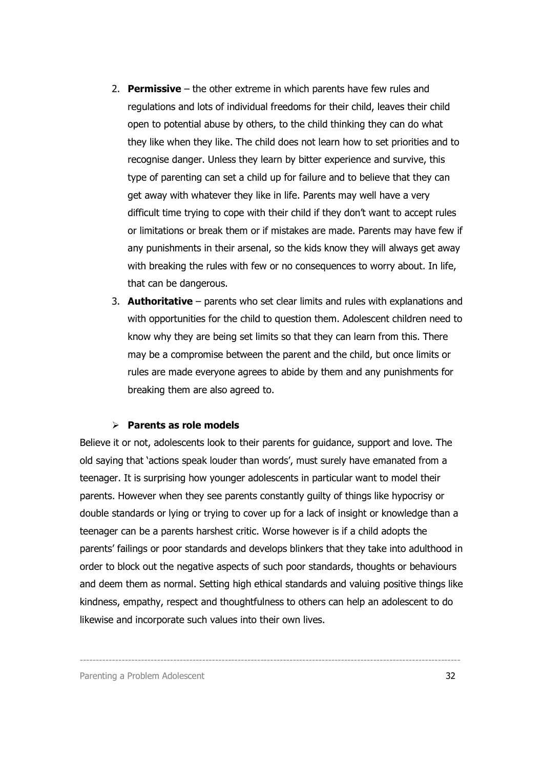- 2. **Permissive** the other extreme in which parents have few rules and regulations and lots of individual freedoms for their child, leaves their child open to potential abuse by others, to the child thinking they can do what they like when they like. The child does not learn how to set priorities and to recognise danger. Unless they learn by bitter experience and survive, this type of parenting can set a child up for failure and to believe that they can get away with whatever they like in life. Parents may well have a very difficult time trying to cope with their child if they don't want to accept rules or limitations or break them or if mistakes are made. Parents may have few if any punishments in their arsenal, so the kids know they will always get away with breaking the rules with few or no consequences to worry about. In life, that can be dangerous.
- 3. **Authoritative** parents who set clear limits and rules with explanations and with opportunities for the child to question them. Adolescent children need to know why they are being set limits so that they can learn from this. There may be a compromise between the parent and the child, but once limits or rules are made everyone agrees to abide by them and any punishments for breaking them are also agreed to.

#### $\triangleright$  Parents as role models

Believe it or not, adolescents look to their parents for guidance, support and love. The old saying that 'actions speak louder than words', must surely have emanated from a teenager. It is surprising how younger adolescents in particular want to model their parents. However when they see parents constantly guilty of things like hypocrisy or double standards or lying or trying to cover up for a lack of insight or knowledge than a teenager can be a parents harshest critic. Worse however is if a child adopts the parents' failings or poor standards and develops blinkers that they take into adulthood in order to block out the negative aspects of such poor standards, thoughts or behaviours and deem them as normal. Setting high ethical standards and valuing positive things like kindness, empathy, respect and thoughtfulness to others can help an adolescent to do likewise and incorporate such values into their own lives.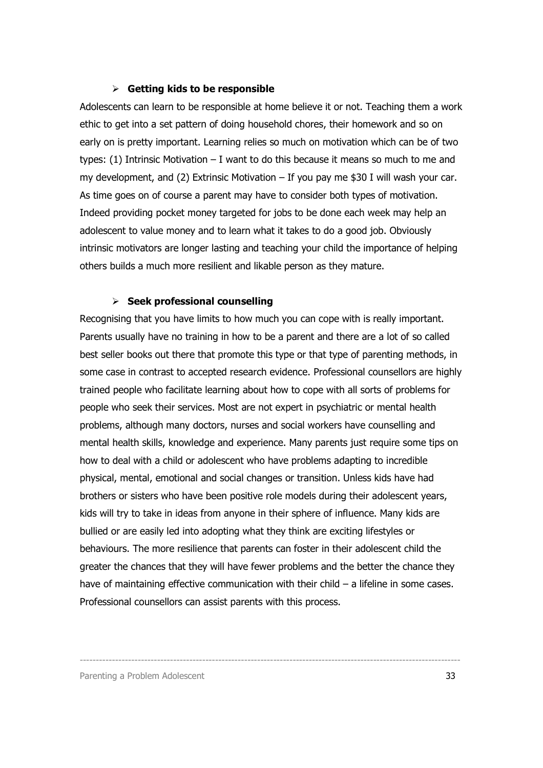#### $\triangleright$  Getting kids to be responsible

Adolescents can learn to be responsible at home believe it or not. Teaching them a work ethic to get into a set pattern of doing household chores, their homework and so on early on is pretty important. Learning relies so much on motivation which can be of two types: (1) Intrinsic Motivation – I want to do this because it means so much to me and my development, and (2) Extrinsic Motivation – If you pay me \$30 I will wash your car. As time goes on of course a parent may have to consider both types of motivation. Indeed providing pocket money targeted for jobs to be done each week may help an adolescent to value money and to learn what it takes to do a good job. Obviously intrinsic motivators are longer lasting and teaching your child the importance of helping others builds a much more resilient and likable person as they mature.

#### $\triangleright$  Seek professional counselling

Recognising that you have limits to how much you can cope with is really important. Parents usually have no training in how to be a parent and there are a lot of so called best seller books out there that promote this type or that type of parenting methods, in some case in contrast to accepted research evidence. Professional counsellors are highly trained people who facilitate learning about how to cope with all sorts of problems for people who seek their services. Most are not expert in psychiatric or mental health problems, although many doctors, nurses and social workers have counselling and mental health skills, knowledge and experience. Many parents just require some tips on how to deal with a child or adolescent who have problems adapting to incredible physical, mental, emotional and social changes or transition. Unless kids have had brothers or sisters who have been positive role models during their adolescent years, kids will try to take in ideas from anyone in their sphere of influence. Many kids are bullied or are easily led into adopting what they think are exciting lifestyles or behaviours. The more resilience that parents can foster in their adolescent child the greater the chances that they will have fewer problems and the better the chance they have of maintaining effective communication with their child – a lifeline in some cases. Professional counsellors can assist parents with this process.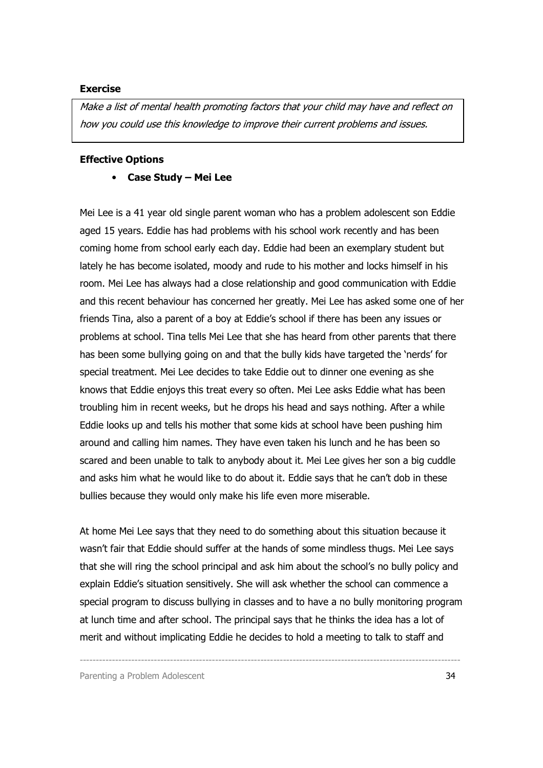#### Exercise

Make a list of mental health promoting factors that your child may have and reflect on how you could use this knowledge to improve their current problems and issues.

#### Effective Options

• Case Study – Mei Lee

Mei Lee is a 41 year old single parent woman who has a problem adolescent son Eddie aged 15 years. Eddie has had problems with his school work recently and has been coming home from school early each day. Eddie had been an exemplary student but lately he has become isolated, moody and rude to his mother and locks himself in his room. Mei Lee has always had a close relationship and good communication with Eddie and this recent behaviour has concerned her greatly. Mei Lee has asked some one of her friends Tina, also a parent of a boy at Eddie's school if there has been any issues or problems at school. Tina tells Mei Lee that she has heard from other parents that there has been some bullying going on and that the bully kids have targeted the 'nerds' for special treatment. Mei Lee decides to take Eddie out to dinner one evening as she knows that Eddie enjoys this treat every so often. Mei Lee asks Eddie what has been troubling him in recent weeks, but he drops his head and says nothing. After a while Eddie looks up and tells his mother that some kids at school have been pushing him around and calling him names. They have even taken his lunch and he has been so scared and been unable to talk to anybody about it. Mei Lee gives her son a big cuddle and asks him what he would like to do about it. Eddie says that he can't dob in these bullies because they would only make his life even more miserable.

At home Mei Lee says that they need to do something about this situation because it wasn't fair that Eddie should suffer at the hands of some mindless thugs. Mei Lee says that she will ring the school principal and ask him about the school's no bully policy and explain Eddie's situation sensitively. She will ask whether the school can commence a special program to discuss bullying in classes and to have a no bully monitoring program at lunch time and after school. The principal says that he thinks the idea has a lot of merit and without implicating Eddie he decides to hold a meeting to talk to staff and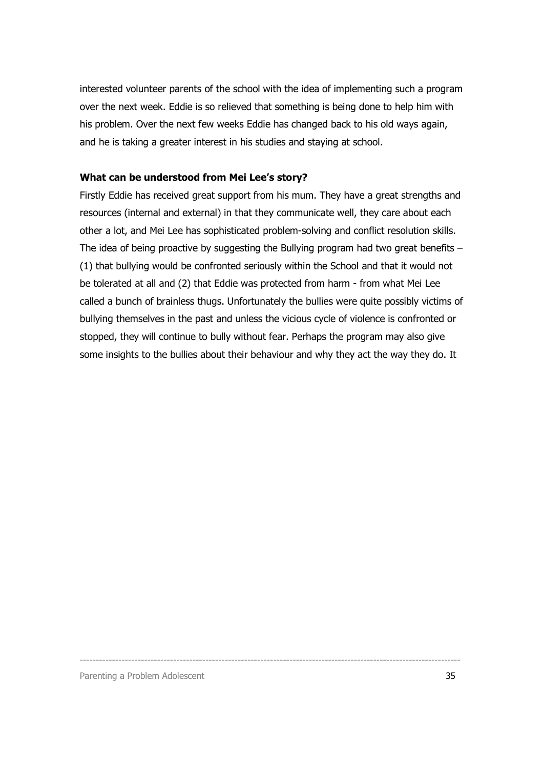interested volunteer parents of the school with the idea of implementing such a program over the next week. Eddie is so relieved that something is being done to help him with his problem. Over the next few weeks Eddie has changed back to his old ways again, and he is taking a greater interest in his studies and staying at school.

#### What can be understood from Mei Lee's story?

Firstly Eddie has received great support from his mum. They have a great strengths and resources (internal and external) in that they communicate well, they care about each other a lot, and Mei Lee has sophisticated problem-solving and conflict resolution skills. The idea of being proactive by suggesting the Bullying program had two great benefits – (1) that bullying would be confronted seriously within the School and that it would not be tolerated at all and (2) that Eddie was protected from harm - from what Mei Lee called a bunch of brainless thugs. Unfortunately the bullies were quite possibly victims of bullying themselves in the past and unless the vicious cycle of violence is confronted or stopped, they will continue to bully without fear. Perhaps the program may also give some insights to the bullies about their behaviour and why they act the way they do. It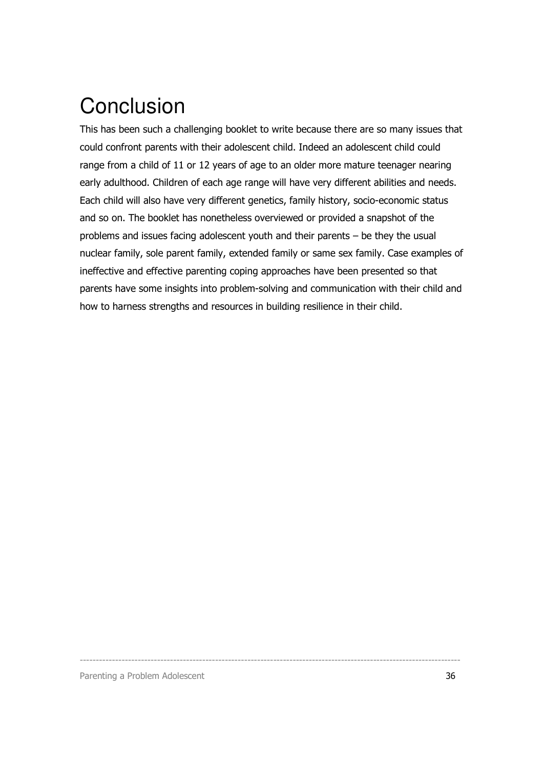## **Conclusion**

This has been such a challenging booklet to write because there are so many issues that could confront parents with their adolescent child. Indeed an adolescent child could range from a child of 11 or 12 years of age to an older more mature teenager nearing early adulthood. Children of each age range will have very different abilities and needs. Each child will also have very different genetics, family history, socio-economic status and so on. The booklet has nonetheless overviewed or provided a snapshot of the problems and issues facing adolescent youth and their parents – be they the usual nuclear family, sole parent family, extended family or same sex family. Case examples of ineffective and effective parenting coping approaches have been presented so that parents have some insights into problem-solving and communication with their child and how to harness strengths and resources in building resilience in their child.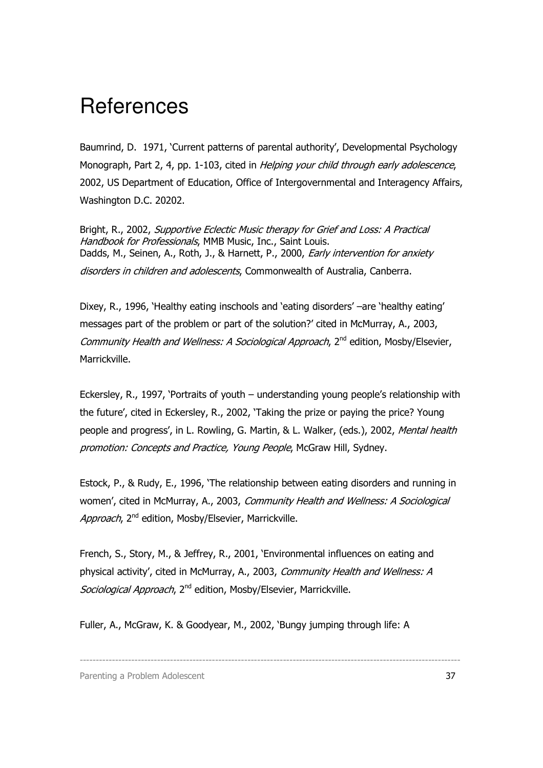### **References**

Baumrind, D. 1971, 'Current patterns of parental authority', Developmental Psychology Monograph, Part 2, 4, pp. 1-103, cited in Helping your child through early adolescence, 2002, US Department of Education, Office of Intergovernmental and Interagency Affairs, Washington D.C. 20202.

Bright, R., 2002, Supportive Eclectic Music therapy for Grief and Loss: A Practical Handbook for Professionals, MMB Music, Inc., Saint Louis. Dadds, M., Seinen, A., Roth, J., & Harnett, P., 2000, Early intervention for anxiety disorders in children and adolescents, Commonwealth of Australia, Canberra.

Dixey, R., 1996, 'Healthy eating inschools and 'eating disorders' –are 'healthy eating' messages part of the problem or part of the solution?' cited in McMurray, A., 2003, Community Health and Wellness: A Sociological Approach, 2<sup>nd</sup> edition, Mosby/Elsevier, Marrickville.

Eckersley, R., 1997, 'Portraits of youth – understanding young people's relationship with the future', cited in Eckersley, R., 2002, 'Taking the prize or paying the price? Young people and progress', in L. Rowling, G. Martin, & L. Walker, (eds.), 2002, Mental health promotion: Concepts and Practice, Young People, McGraw Hill, Sydney.

Estock, P., & Rudy, E., 1996, 'The relationship between eating disorders and running in women', cited in McMurray, A., 2003, Community Health and Wellness: A Sociological Approach, 2<sup>nd</sup> edition, Mosby/Elsevier, Marrickville.

French, S., Story, M., & Jeffrey, R., 2001, 'Environmental influences on eating and physical activity', cited in McMurray, A., 2003, Community Health and Wellness: A Sociological Approach, 2<sup>nd</sup> edition, Mosby/Elsevier, Marrickville.

----------------------------------------------------------------------------------------------------------------------

Fuller, A., McGraw, K. & Goodyear, M., 2002, 'Bungy jumping through life: A

Parenting a Problem Adolescent 37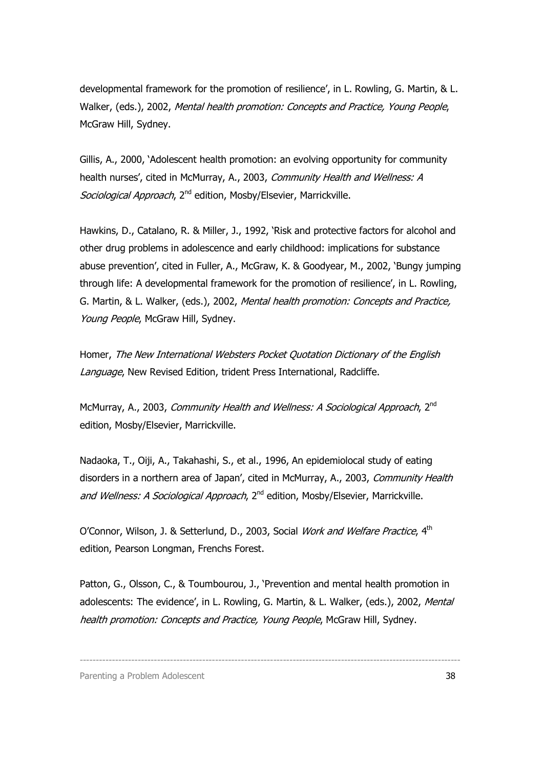developmental framework for the promotion of resilience', in L. Rowling, G. Martin, & L. Walker, (eds.), 2002, Mental health promotion: Concepts and Practice, Young People, McGraw Hill, Sydney.

Gillis, A., 2000, 'Adolescent health promotion: an evolving opportunity for community health nurses', cited in McMurray, A., 2003, Community Health and Wellness: A Sociological Approach, 2<sup>nd</sup> edition, Mosby/Elsevier, Marrickville.

Hawkins, D., Catalano, R. & Miller, J., 1992, 'Risk and protective factors for alcohol and other drug problems in adolescence and early childhood: implications for substance abuse prevention', cited in Fuller, A., McGraw, K. & Goodyear, M., 2002, 'Bungy jumping through life: A developmental framework for the promotion of resilience', in L. Rowling, G. Martin, & L. Walker, (eds.), 2002, Mental health promotion: Concepts and Practice, Young People, McGraw Hill, Sydney.

Homer, The New International Websters Pocket Quotation Dictionary of the English Language, New Revised Edition, trident Press International, Radcliffe.

McMurray, A., 2003, Community Health and Wellness: A Sociological Approach, 2<sup>nd</sup> edition, Mosby/Elsevier, Marrickville.

Nadaoka, T., Oiji, A., Takahashi, S., et al., 1996, An epidemiolocal study of eating disorders in a northern area of Japan', cited in McMurray, A., 2003, Community Health and Wellness: A Sociological Approach, 2<sup>nd</sup> edition, Mosby/Elsevier, Marrickville.

O'Connor, Wilson, J. & Setterlund, D., 2003, Social Work and Welfare Practice, 4<sup>th</sup> edition, Pearson Longman, Frenchs Forest.

Patton, G., Olsson, C., & Toumbourou, J., 'Prevention and mental health promotion in adolescents: The evidence', in L. Rowling, G. Martin, & L. Walker, (eds.), 2002, Mental health promotion: Concepts and Practice, Young People, McGraw Hill, Sydney.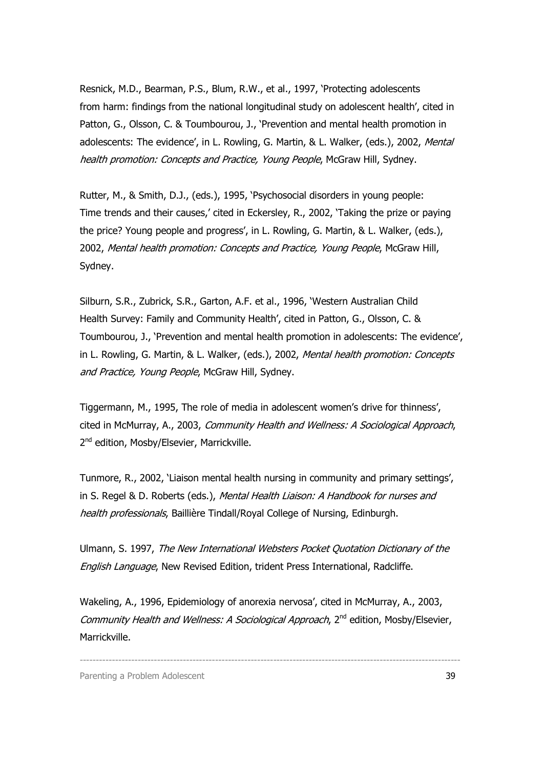Resnick, M.D., Bearman, P.S., Blum, R.W., et al., 1997, 'Protecting adolescents from harm: findings from the national longitudinal study on adolescent health', cited in Patton, G., Olsson, C. & Toumbourou, J., 'Prevention and mental health promotion in adolescents: The evidence', in L. Rowling, G. Martin, & L. Walker, (eds.), 2002, Mental health promotion: Concepts and Practice, Young People, McGraw Hill, Sydney.

Rutter, M., & Smith, D.J., (eds.), 1995, 'Psychosocial disorders in young people: Time trends and their causes,' cited in Eckersley, R., 2002, 'Taking the prize or paying the price? Young people and progress', in L. Rowling, G. Martin, & L. Walker, (eds.), 2002, Mental health promotion: Concepts and Practice, Young People, McGraw Hill, Sydney.

Silburn, S.R., Zubrick, S.R., Garton, A.F. et al., 1996, 'Western Australian Child Health Survey: Family and Community Health', cited in Patton, G., Olsson, C. & Toumbourou, J., 'Prevention and mental health promotion in adolescents: The evidence', in L. Rowling, G. Martin, & L. Walker, (eds.), 2002, Mental health promotion: Concepts and Practice, Young People, McGraw Hill, Sydney.

Tiggermann, M., 1995, The role of media in adolescent women's drive for thinness', cited in McMurray, A., 2003, Community Health and Wellness: A Sociological Approach, 2<sup>nd</sup> edition, Mosby/Elsevier, Marrickville.

Tunmore, R., 2002, 'Liaison mental health nursing in community and primary settings', in S. Regel & D. Roberts (eds.), Mental Health Liaison: A Handbook for nurses and health professionals, Baillière Tindall/Royal College of Nursing, Edinburgh.

Ulmann, S. 1997, The New International Websters Pocket Quotation Dictionary of the English Language, New Revised Edition, trident Press International, Radcliffe.

Wakeling, A., 1996, Epidemiology of anorexia nervosa', cited in McMurray, A., 2003, Community Health and Wellness: A Sociological Approach, 2<sup>nd</sup> edition, Mosby/Elsevier, Marrickville.